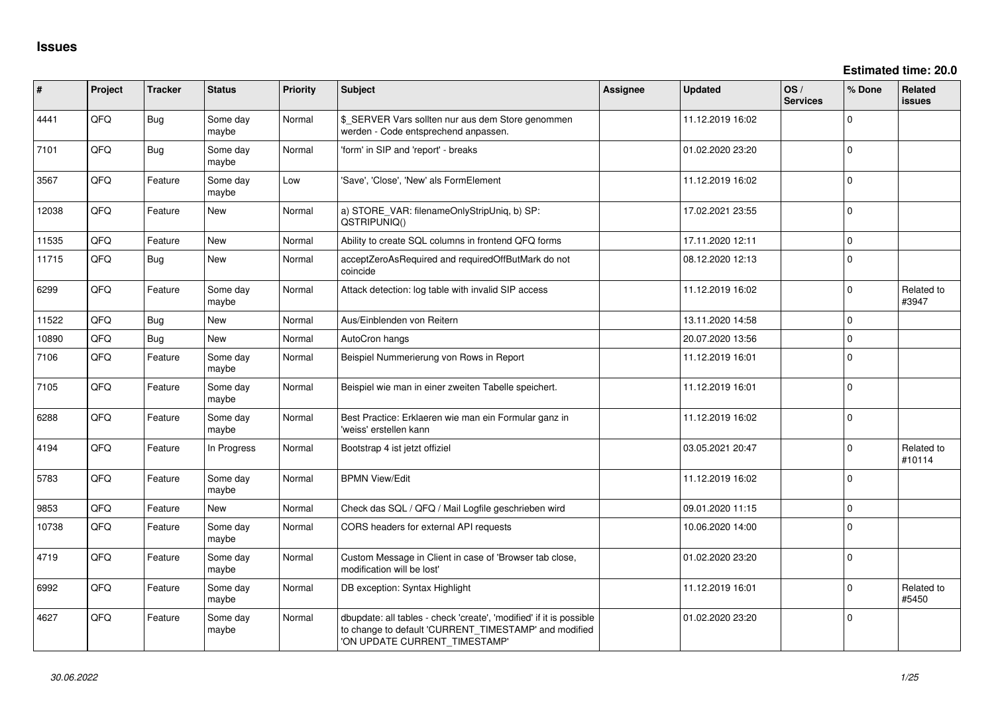**Estimated time: 20.0**

| #     | Project | <b>Tracker</b> | <b>Status</b>     | <b>Priority</b> | <b>Subject</b>                                                                                                                                                | Assignee | <b>Updated</b>   | OS/<br><b>Services</b> | % Done      | Related<br><b>issues</b> |
|-------|---------|----------------|-------------------|-----------------|---------------------------------------------------------------------------------------------------------------------------------------------------------------|----------|------------------|------------------------|-------------|--------------------------|
| 4441  | QFQ     | <b>Bug</b>     | Some day<br>maybe | Normal          | \$ SERVER Vars sollten nur aus dem Store genommen<br>werden - Code entsprechend anpassen.                                                                     |          | 11.12.2019 16:02 |                        | $\Omega$    |                          |
| 7101  | QFQ     | Bug            | Some day<br>maybe | Normal          | 'form' in SIP and 'report' - breaks                                                                                                                           |          | 01.02.2020 23:20 |                        | $\Omega$    |                          |
| 3567  | QFQ     | Feature        | Some day<br>maybe | Low             | 'Save', 'Close', 'New' als FormElement                                                                                                                        |          | 11.12.2019 16:02 |                        | $\Omega$    |                          |
| 12038 | QFQ     | Feature        | New               | Normal          | a) STORE_VAR: filenameOnlyStripUniq, b) SP:<br>QSTRIPUNIQ()                                                                                                   |          | 17.02.2021 23:55 |                        | $\Omega$    |                          |
| 11535 | QFQ     | Feature        | New               | Normal          | Ability to create SQL columns in frontend QFQ forms                                                                                                           |          | 17.11.2020 12:11 |                        | $\Omega$    |                          |
| 11715 | QFQ     | Bug            | New               | Normal          | acceptZeroAsRequired and requiredOffButMark do not<br>coincide                                                                                                |          | 08.12.2020 12:13 |                        | $\Omega$    |                          |
| 6299  | QFQ     | Feature        | Some day<br>maybe | Normal          | Attack detection: log table with invalid SIP access                                                                                                           |          | 11.12.2019 16:02 |                        | $\Omega$    | Related to<br>#3947      |
| 11522 | QFQ     | Bug            | <b>New</b>        | Normal          | Aus/Einblenden von Reitern                                                                                                                                    |          | 13.11.2020 14:58 |                        | $\Omega$    |                          |
| 10890 | QFQ     | Bug            | <b>New</b>        | Normal          | AutoCron hangs                                                                                                                                                |          | 20.07.2020 13:56 |                        | $\Omega$    |                          |
| 7106  | QFQ     | Feature        | Some day<br>maybe | Normal          | Beispiel Nummerierung von Rows in Report                                                                                                                      |          | 11.12.2019 16:01 |                        | $\Omega$    |                          |
| 7105  | QFQ     | Feature        | Some day<br>maybe | Normal          | Beispiel wie man in einer zweiten Tabelle speichert.                                                                                                          |          | 11.12.2019 16:01 |                        | $\Omega$    |                          |
| 6288  | QFQ     | Feature        | Some day<br>maybe | Normal          | Best Practice: Erklaeren wie man ein Formular ganz in<br>'weiss' erstellen kann                                                                               |          | 11.12.2019 16:02 |                        | $\mathbf 0$ |                          |
| 4194  | QFQ     | Feature        | In Progress       | Normal          | Bootstrap 4 ist jetzt offiziel                                                                                                                                |          | 03.05.2021 20:47 |                        | $\Omega$    | Related to<br>#10114     |
| 5783  | QFQ     | Feature        | Some day<br>maybe | Normal          | <b>BPMN View/Edit</b>                                                                                                                                         |          | 11.12.2019 16:02 |                        | $\Omega$    |                          |
| 9853  | QFQ     | Feature        | New               | Normal          | Check das SQL / QFQ / Mail Logfile geschrieben wird                                                                                                           |          | 09.01.2020 11:15 |                        | 0           |                          |
| 10738 | QFQ     | Feature        | Some day<br>maybe | Normal          | CORS headers for external API requests                                                                                                                        |          | 10.06.2020 14:00 |                        | $\Omega$    |                          |
| 4719  | QFQ     | Feature        | Some day<br>maybe | Normal          | Custom Message in Client in case of 'Browser tab close,<br>modification will be lost'                                                                         |          | 01.02.2020 23:20 |                        | $\Omega$    |                          |
| 6992  | QFQ     | Feature        | Some day<br>maybe | Normal          | DB exception: Syntax Highlight                                                                                                                                |          | 11.12.2019 16:01 |                        | $\Omega$    | Related to<br>#5450      |
| 4627  | QFQ     | Feature        | Some day<br>maybe | Normal          | dbupdate: all tables - check 'create', 'modified' if it is possible<br>to change to default 'CURRENT_TIMESTAMP' and modified<br>'ON UPDATE CURRENT_TIMESTAMP' |          | 01.02.2020 23:20 |                        | $\Omega$    |                          |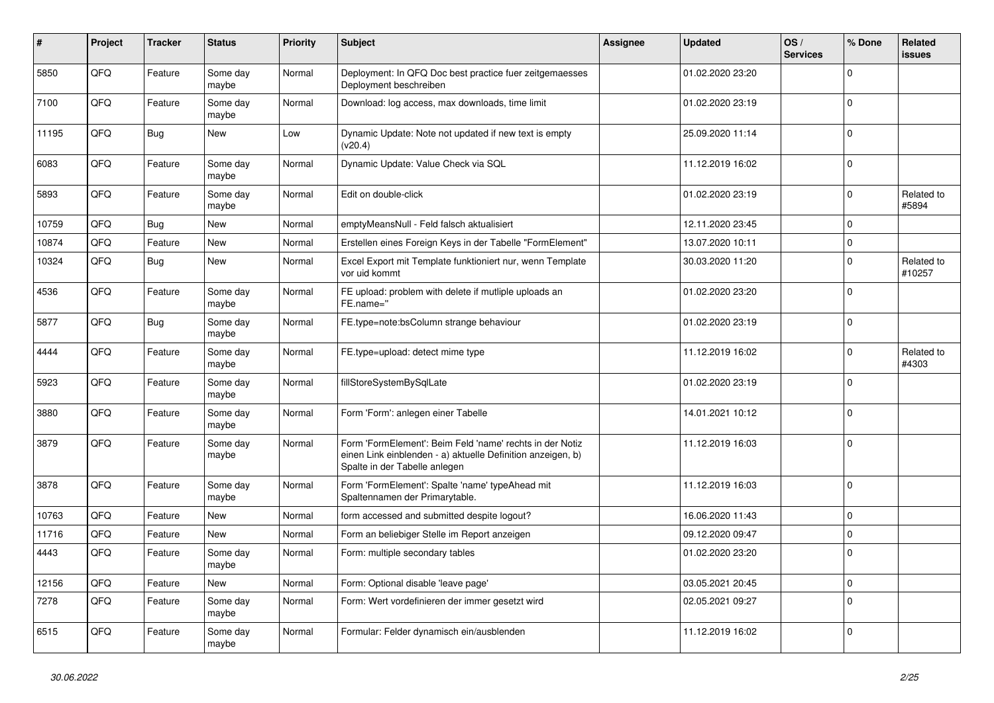| ∦     | Project | <b>Tracker</b> | <b>Status</b>     | <b>Priority</b> | <b>Subject</b>                                                                                                                                           | Assignee | <b>Updated</b>   | OS/<br><b>Services</b> | % Done      | Related<br><b>issues</b> |
|-------|---------|----------------|-------------------|-----------------|----------------------------------------------------------------------------------------------------------------------------------------------------------|----------|------------------|------------------------|-------------|--------------------------|
| 5850  | QFQ     | Feature        | Some day<br>maybe | Normal          | Deployment: In QFQ Doc best practice fuer zeitgemaesses<br>Deployment beschreiben                                                                        |          | 01.02.2020 23:20 |                        | $\Omega$    |                          |
| 7100  | QFQ     | Feature        | Some day<br>maybe | Normal          | Download: log access, max downloads, time limit                                                                                                          |          | 01.02.2020 23:19 |                        | $\mathbf 0$ |                          |
| 11195 | QFQ     | Bug            | <b>New</b>        | Low             | Dynamic Update: Note not updated if new text is empty<br>(v20.4)                                                                                         |          | 25.09.2020 11:14 |                        | $\Omega$    |                          |
| 6083  | QFQ     | Feature        | Some day<br>maybe | Normal          | Dynamic Update: Value Check via SQL                                                                                                                      |          | 11.12.2019 16:02 |                        | $\Omega$    |                          |
| 5893  | QFQ     | Feature        | Some day<br>maybe | Normal          | Edit on double-click                                                                                                                                     |          | 01.02.2020 23:19 |                        | 0           | Related to<br>#5894      |
| 10759 | QFQ     | Bug            | <b>New</b>        | Normal          | emptyMeansNull - Feld falsch aktualisiert                                                                                                                |          | 12.11.2020 23:45 |                        | $\Omega$    |                          |
| 10874 | QFQ     | Feature        | <b>New</b>        | Normal          | Erstellen eines Foreign Keys in der Tabelle "FormElement"                                                                                                |          | 13.07.2020 10:11 |                        | $\mathbf 0$ |                          |
| 10324 | QFQ     | Bug            | <b>New</b>        | Normal          | Excel Export mit Template funktioniert nur, wenn Template<br>vor uid kommt                                                                               |          | 30.03.2020 11:20 |                        | $\Omega$    | Related to<br>#10257     |
| 4536  | QFQ     | Feature        | Some day<br>maybe | Normal          | FE upload: problem with delete if mutliple uploads an<br>FE.name="                                                                                       |          | 01.02.2020 23:20 |                        | $\Omega$    |                          |
| 5877  | QFQ     | Bug            | Some day<br>maybe | Normal          | FE.type=note:bsColumn strange behaviour                                                                                                                  |          | 01.02.2020 23:19 |                        | $\Omega$    |                          |
| 4444  | QFQ     | Feature        | Some day<br>maybe | Normal          | FE.type=upload: detect mime type                                                                                                                         |          | 11.12.2019 16:02 |                        | $\Omega$    | Related to<br>#4303      |
| 5923  | QFQ     | Feature        | Some day<br>maybe | Normal          | fillStoreSystemBySqlLate                                                                                                                                 |          | 01.02.2020 23:19 |                        | $\mathbf 0$ |                          |
| 3880  | QFQ     | Feature        | Some day<br>maybe | Normal          | Form 'Form': anlegen einer Tabelle                                                                                                                       |          | 14.01.2021 10:12 |                        | $\mathbf 0$ |                          |
| 3879  | QFQ     | Feature        | Some day<br>maybe | Normal          | Form 'FormElement': Beim Feld 'name' rechts in der Notiz<br>einen Link einblenden - a) aktuelle Definition anzeigen, b)<br>Spalte in der Tabelle anlegen |          | 11.12.2019 16:03 |                        | $\Omega$    |                          |
| 3878  | QFQ     | Feature        | Some day<br>maybe | Normal          | Form 'FormElement': Spalte 'name' typeAhead mit<br>Spaltennamen der Primarytable.                                                                        |          | 11.12.2019 16:03 |                        | $\Omega$    |                          |
| 10763 | QFQ     | Feature        | <b>New</b>        | Normal          | form accessed and submitted despite logout?                                                                                                              |          | 16.06.2020 11:43 |                        | $\Omega$    |                          |
| 11716 | QFQ     | Feature        | <b>New</b>        | Normal          | Form an beliebiger Stelle im Report anzeigen                                                                                                             |          | 09.12.2020 09:47 |                        | $\Omega$    |                          |
| 4443  | QFQ     | Feature        | Some day<br>maybe | Normal          | Form: multiple secondary tables                                                                                                                          |          | 01.02.2020 23:20 |                        | $\Omega$    |                          |
| 12156 | QFQ     | Feature        | <b>New</b>        | Normal          | Form: Optional disable 'leave page'                                                                                                                      |          | 03.05.2021 20:45 |                        | $\Omega$    |                          |
| 7278  | QFQ     | Feature        | Some day<br>maybe | Normal          | Form: Wert vordefinieren der immer gesetzt wird                                                                                                          |          | 02.05.2021 09:27 |                        | $\Omega$    |                          |
| 6515  | QFQ     | Feature        | Some day<br>maybe | Normal          | Formular: Felder dynamisch ein/ausblenden                                                                                                                |          | 11.12.2019 16:02 |                        | $\Omega$    |                          |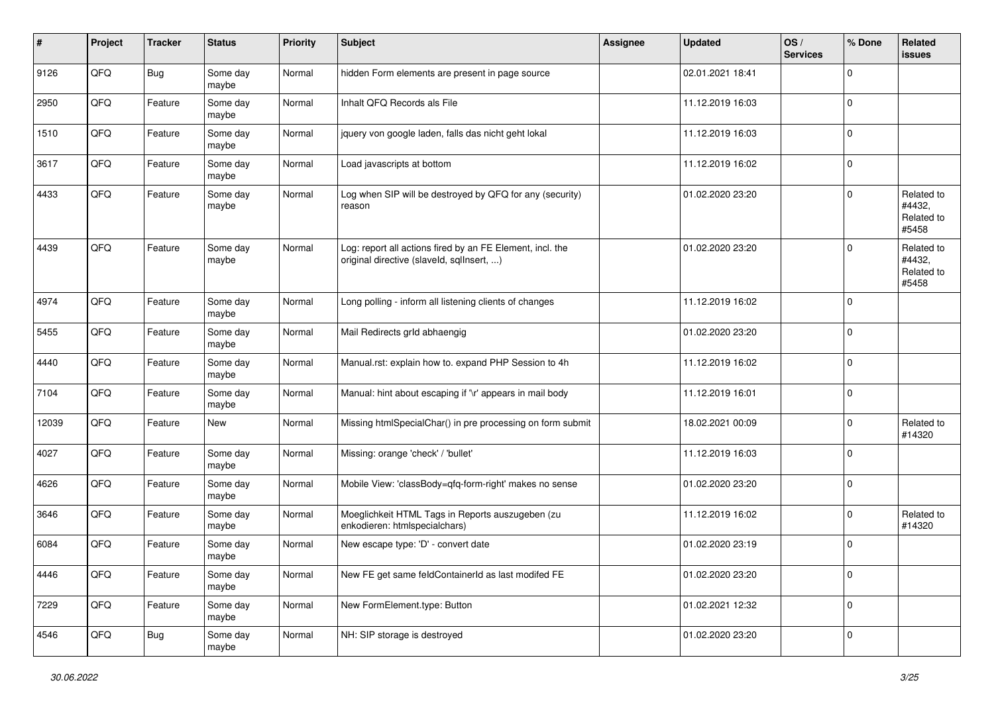| #     | Project | <b>Tracker</b> | <b>Status</b>     | <b>Priority</b> | <b>Subject</b>                                                                                         | Assignee | <b>Updated</b>   | OS/<br><b>Services</b> | % Done      | Related<br><b>issues</b>                    |
|-------|---------|----------------|-------------------|-----------------|--------------------------------------------------------------------------------------------------------|----------|------------------|------------------------|-------------|---------------------------------------------|
| 9126  | QFQ     | Bug            | Some day<br>maybe | Normal          | hidden Form elements are present in page source                                                        |          | 02.01.2021 18:41 |                        | $\Omega$    |                                             |
| 2950  | QFQ     | Feature        | Some day<br>maybe | Normal          | Inhalt QFQ Records als File                                                                            |          | 11.12.2019 16:03 |                        | $\mathbf 0$ |                                             |
| 1510  | QFQ     | Feature        | Some day<br>maybe | Normal          | jquery von google laden, falls das nicht geht lokal                                                    |          | 11.12.2019 16:03 |                        | $\Omega$    |                                             |
| 3617  | QFQ     | Feature        | Some day<br>maybe | Normal          | Load javascripts at bottom                                                                             |          | 11.12.2019 16:02 |                        | $\mathbf 0$ |                                             |
| 4433  | QFQ     | Feature        | Some day<br>maybe | Normal          | Log when SIP will be destroyed by QFQ for any (security)<br>reason                                     |          | 01.02.2020 23:20 |                        | $\Omega$    | Related to<br>#4432,<br>Related to<br>#5458 |
| 4439  | QFQ     | Feature        | Some day<br>maybe | Normal          | Log: report all actions fired by an FE Element, incl. the<br>original directive (slaveld, sqlInsert, ) |          | 01.02.2020 23:20 |                        | $\Omega$    | Related to<br>#4432,<br>Related to<br>#5458 |
| 4974  | QFQ     | Feature        | Some day<br>maybe | Normal          | Long polling - inform all listening clients of changes                                                 |          | 11.12.2019 16:02 |                        | $\mathbf 0$ |                                             |
| 5455  | QFQ     | Feature        | Some day<br>maybe | Normal          | Mail Redirects grld abhaengig                                                                          |          | 01.02.2020 23:20 |                        | $\Omega$    |                                             |
| 4440  | QFQ     | Feature        | Some day<br>maybe | Normal          | Manual.rst: explain how to. expand PHP Session to 4h                                                   |          | 11.12.2019 16:02 |                        | $\Omega$    |                                             |
| 7104  | QFQ     | Feature        | Some day<br>maybe | Normal          | Manual: hint about escaping if '\r' appears in mail body                                               |          | 11.12.2019 16:01 |                        | $\Omega$    |                                             |
| 12039 | QFQ     | Feature        | New               | Normal          | Missing htmlSpecialChar() in pre processing on form submit                                             |          | 18.02.2021 00:09 |                        | $\Omega$    | Related to<br>#14320                        |
| 4027  | QFQ     | Feature        | Some day<br>maybe | Normal          | Missing: orange 'check' / 'bullet'                                                                     |          | 11.12.2019 16:03 |                        | $\mathbf 0$ |                                             |
| 4626  | QFQ     | Feature        | Some day<br>maybe | Normal          | Mobile View: 'classBody=qfq-form-right' makes no sense                                                 |          | 01.02.2020 23:20 |                        | $\mathbf 0$ |                                             |
| 3646  | QFQ     | Feature        | Some day<br>maybe | Normal          | Moeglichkeit HTML Tags in Reports auszugeben (zu<br>enkodieren: htmlspecialchars)                      |          | 11.12.2019 16:02 |                        | $\mathbf 0$ | Related to<br>#14320                        |
| 6084  | QFQ     | Feature        | Some day<br>maybe | Normal          | New escape type: 'D' - convert date                                                                    |          | 01.02.2020 23:19 |                        | $\Omega$    |                                             |
| 4446  | QFG     | Feature        | Some day<br>maybe | Normal          | New FE get same feldContainerId as last modifed FE                                                     |          | 01.02.2020 23:20 |                        | $\mathbf 0$ |                                             |
| 7229  | QFQ     | Feature        | Some day<br>maybe | Normal          | New FormElement.type: Button                                                                           |          | 01.02.2021 12:32 |                        | 0           |                                             |
| 4546  | QFQ     | <b>Bug</b>     | Some day<br>maybe | Normal          | NH: SIP storage is destroyed                                                                           |          | 01.02.2020 23:20 |                        | $\mathbf 0$ |                                             |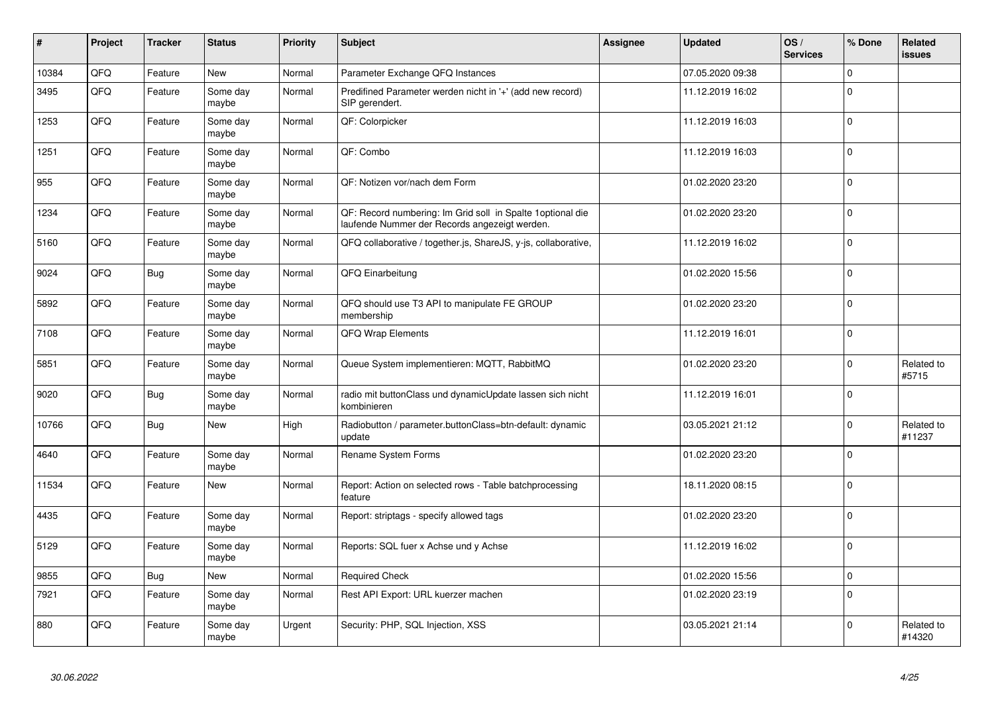| #     | Project | <b>Tracker</b> | <b>Status</b>     | <b>Priority</b> | <b>Subject</b>                                                                                               | <b>Assignee</b> | <b>Updated</b>   | OS/<br><b>Services</b> | % Done      | Related<br><b>issues</b> |
|-------|---------|----------------|-------------------|-----------------|--------------------------------------------------------------------------------------------------------------|-----------------|------------------|------------------------|-------------|--------------------------|
| 10384 | QFQ     | Feature        | New               | Normal          | Parameter Exchange QFQ Instances                                                                             |                 | 07.05.2020 09:38 |                        | $\mathbf 0$ |                          |
| 3495  | QFQ     | Feature        | Some day<br>maybe | Normal          | Predifined Parameter werden nicht in '+' (add new record)<br>SIP gerendert.                                  |                 | 11.12.2019 16:02 |                        | $\mathbf 0$ |                          |
| 1253  | QFQ     | Feature        | Some day<br>maybe | Normal          | QF: Colorpicker                                                                                              |                 | 11.12.2019 16:03 |                        | $\Omega$    |                          |
| 1251  | QFQ     | Feature        | Some day<br>maybe | Normal          | QF: Combo                                                                                                    |                 | 11.12.2019 16:03 |                        | $\Omega$    |                          |
| 955   | QFQ     | Feature        | Some day<br>maybe | Normal          | QF: Notizen vor/nach dem Form                                                                                |                 | 01.02.2020 23:20 |                        | $\Omega$    |                          |
| 1234  | QFQ     | Feature        | Some day<br>maybe | Normal          | QF: Record numbering: Im Grid soll in Spalte 1 optional die<br>laufende Nummer der Records angezeigt werden. |                 | 01.02.2020 23:20 |                        | $\mathbf 0$ |                          |
| 5160  | QFQ     | Feature        | Some day<br>maybe | Normal          | QFQ collaborative / together.js, ShareJS, y-js, collaborative,                                               |                 | 11.12.2019 16:02 |                        | $\Omega$    |                          |
| 9024  | QFQ     | Bug            | Some day<br>maybe | Normal          | QFQ Einarbeitung                                                                                             |                 | 01.02.2020 15:56 |                        | $\Omega$    |                          |
| 5892  | QFQ     | Feature        | Some day<br>maybe | Normal          | QFQ should use T3 API to manipulate FE GROUP<br>membership                                                   |                 | 01.02.2020 23:20 |                        | $\Omega$    |                          |
| 7108  | QFQ     | Feature        | Some day<br>maybe | Normal          | <b>QFQ Wrap Elements</b>                                                                                     |                 | 11.12.2019 16:01 |                        | $\Omega$    |                          |
| 5851  | QFQ     | Feature        | Some day<br>maybe | Normal          | Queue System implementieren: MQTT, RabbitMQ                                                                  |                 | 01.02.2020 23:20 |                        | $\mathbf 0$ | Related to<br>#5715      |
| 9020  | QFQ     | <b>Bug</b>     | Some day<br>maybe | Normal          | radio mit buttonClass und dynamicUpdate lassen sich nicht<br>kombinieren                                     |                 | 11.12.2019 16:01 |                        | $\mathbf 0$ |                          |
| 10766 | QFQ     | <b>Bug</b>     | New               | High            | Radiobutton / parameter.buttonClass=btn-default: dynamic<br>update                                           |                 | 03.05.2021 21:12 |                        | $\mathbf 0$ | Related to<br>#11237     |
| 4640  | QFQ     | Feature        | Some day<br>maybe | Normal          | Rename System Forms                                                                                          |                 | 01.02.2020 23:20 |                        | $\Omega$    |                          |
| 11534 | QFQ     | Feature        | New               | Normal          | Report: Action on selected rows - Table batchprocessing<br>feature                                           |                 | 18.11.2020 08:15 |                        | $\Omega$    |                          |
| 4435  | QFQ     | Feature        | Some day<br>maybe | Normal          | Report: striptags - specify allowed tags                                                                     |                 | 01.02.2020 23:20 |                        | $\Omega$    |                          |
| 5129  | QFQ     | Feature        | Some day<br>maybe | Normal          | Reports: SQL fuer x Achse und y Achse                                                                        |                 | 11.12.2019 16:02 |                        | $\Omega$    |                          |
| 9855  | QFQ     | Bug            | New               | Normal          | <b>Required Check</b>                                                                                        |                 | 01.02.2020 15:56 |                        | 0           |                          |
| 7921  | QFQ     | Feature        | Some day<br>maybe | Normal          | Rest API Export: URL kuerzer machen                                                                          |                 | 01.02.2020 23:19 |                        | $\Omega$    |                          |
| 880   | QFQ     | Feature        | Some day<br>maybe | Urgent          | Security: PHP, SQL Injection, XSS                                                                            |                 | 03.05.2021 21:14 |                        | $\Omega$    | Related to<br>#14320     |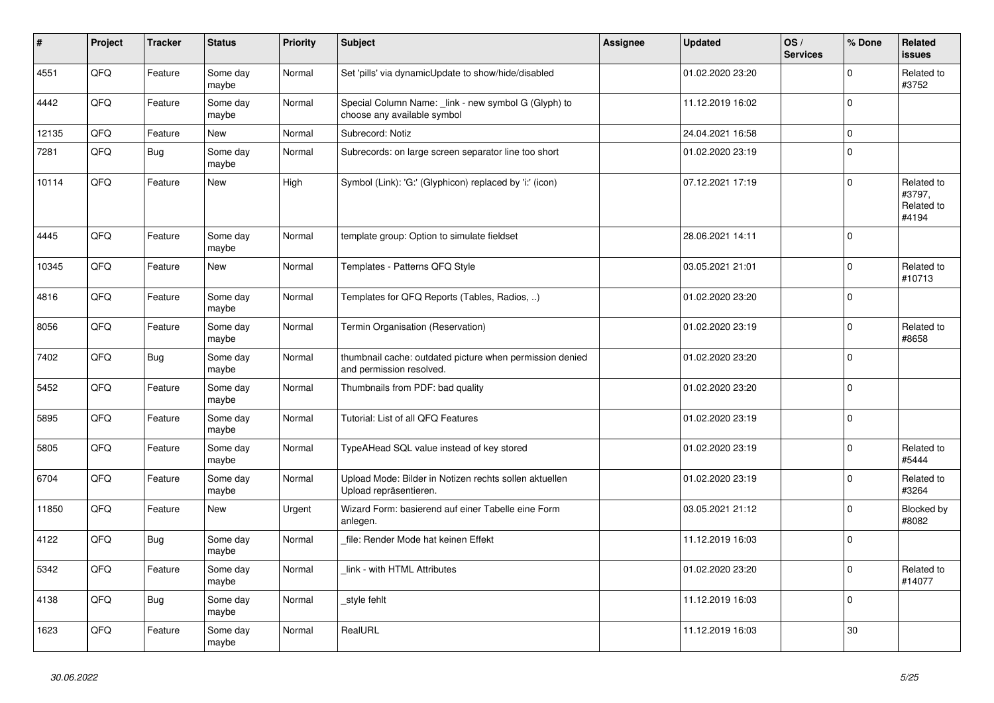| #     | Project | <b>Tracker</b> | <b>Status</b>     | <b>Priority</b> | <b>Subject</b>                                                                       | Assignee | <b>Updated</b>   | OS/<br><b>Services</b> | % Done      | Related<br><b>issues</b>                    |
|-------|---------|----------------|-------------------|-----------------|--------------------------------------------------------------------------------------|----------|------------------|------------------------|-------------|---------------------------------------------|
| 4551  | QFQ     | Feature        | Some day<br>maybe | Normal          | Set 'pills' via dynamicUpdate to show/hide/disabled                                  |          | 01.02.2020 23:20 |                        | $\Omega$    | Related to<br>#3752                         |
| 4442  | QFQ     | Feature        | Some day<br>maybe | Normal          | Special Column Name: _link - new symbol G (Glyph) to<br>choose any available symbol  |          | 11.12.2019 16:02 |                        | $\Omega$    |                                             |
| 12135 | QFQ     | Feature        | New               | Normal          | Subrecord: Notiz                                                                     |          | 24.04.2021 16:58 |                        | $\mathbf 0$ |                                             |
| 7281  | QFQ     | <b>Bug</b>     | Some day<br>maybe | Normal          | Subrecords: on large screen separator line too short                                 |          | 01.02.2020 23:19 |                        | $\mathbf 0$ |                                             |
| 10114 | QFQ     | Feature        | New               | High            | Symbol (Link): 'G:' (Glyphicon) replaced by 'i:' (icon)                              |          | 07.12.2021 17:19 |                        | $\Omega$    | Related to<br>#3797,<br>Related to<br>#4194 |
| 4445  | QFQ     | Feature        | Some day<br>maybe | Normal          | template group: Option to simulate fieldset                                          |          | 28.06.2021 14:11 |                        | $\Omega$    |                                             |
| 10345 | QFQ     | Feature        | <b>New</b>        | Normal          | Templates - Patterns QFQ Style                                                       |          | 03.05.2021 21:01 |                        | $\mathbf 0$ | Related to<br>#10713                        |
| 4816  | QFQ     | Feature        | Some day<br>maybe | Normal          | Templates for QFQ Reports (Tables, Radios, )                                         |          | 01.02.2020 23:20 |                        | $\Omega$    |                                             |
| 8056  | QFQ     | Feature        | Some day<br>maybe | Normal          | Termin Organisation (Reservation)                                                    |          | 01.02.2020 23:19 |                        | $\Omega$    | Related to<br>#8658                         |
| 7402  | QFQ     | Bug            | Some day<br>maybe | Normal          | thumbnail cache: outdated picture when permission denied<br>and permission resolved. |          | 01.02.2020 23:20 |                        | $\Omega$    |                                             |
| 5452  | QFQ     | Feature        | Some day<br>maybe | Normal          | Thumbnails from PDF: bad quality                                                     |          | 01.02.2020 23:20 |                        | $\Omega$    |                                             |
| 5895  | QFQ     | Feature        | Some day<br>maybe | Normal          | Tutorial: List of all QFQ Features                                                   |          | 01.02.2020 23:19 |                        | $\Omega$    |                                             |
| 5805  | QFQ     | Feature        | Some day<br>maybe | Normal          | TypeAHead SQL value instead of key stored                                            |          | 01.02.2020 23:19 |                        | $\Omega$    | Related to<br>#5444                         |
| 6704  | QFQ     | Feature        | Some day<br>maybe | Normal          | Upload Mode: Bilder in Notizen rechts sollen aktuellen<br>Upload repräsentieren.     |          | 01.02.2020 23:19 |                        | $\Omega$    | Related to<br>#3264                         |
| 11850 | QFQ     | Feature        | <b>New</b>        | Urgent          | Wizard Form: basierend auf einer Tabelle eine Form<br>anlegen.                       |          | 03.05.2021 21:12 |                        | $\Omega$    | Blocked by<br>#8082                         |
| 4122  | QFQ     | Bug            | Some day<br>maybe | Normal          | file: Render Mode hat keinen Effekt                                                  |          | 11.12.2019 16:03 |                        | $\mathbf 0$ |                                             |
| 5342  | QFQ     | Feature        | Some day<br>maybe | Normal          | link - with HTML Attributes                                                          |          | 01.02.2020 23:20 |                        | $\Omega$    | Related to<br>#14077                        |
| 4138  | QFQ     | Bug            | Some day<br>maybe | Normal          | _style fehlt                                                                         |          | 11.12.2019 16:03 |                        | $\Omega$    |                                             |
| 1623  | QFQ     | Feature        | Some day<br>maybe | Normal          | RealURL                                                                              |          | 11.12.2019 16:03 |                        | 30          |                                             |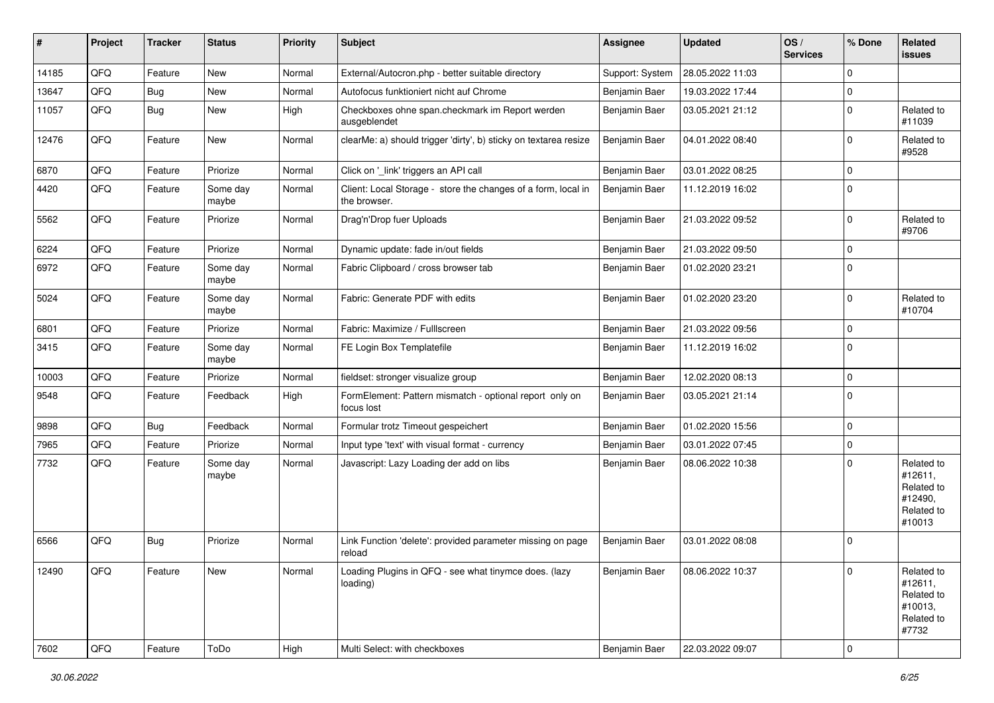| ∦     | Project | <b>Tracker</b> | <b>Status</b>     | <b>Priority</b> | <b>Subject</b>                                                                | Assignee        | <b>Updated</b>   | OS/<br><b>Services</b> | % Done      | Related<br><b>issues</b>                                               |
|-------|---------|----------------|-------------------|-----------------|-------------------------------------------------------------------------------|-----------------|------------------|------------------------|-------------|------------------------------------------------------------------------|
| 14185 | QFQ     | Feature        | <b>New</b>        | Normal          | External/Autocron.php - better suitable directory                             | Support: System | 28.05.2022 11:03 |                        | $\Omega$    |                                                                        |
| 13647 | QFQ     | Bug            | <b>New</b>        | Normal          | Autofocus funktioniert nicht auf Chrome                                       | Benjamin Baer   | 19.03.2022 17:44 |                        | 0           |                                                                        |
| 11057 | QFQ     | Bug            | <b>New</b>        | High            | Checkboxes ohne span.checkmark im Report werden<br>ausgeblendet               | Benjamin Baer   | 03.05.2021 21:12 |                        | $\Omega$    | Related to<br>#11039                                                   |
| 12476 | QFQ     | Feature        | <b>New</b>        | Normal          | clearMe: a) should trigger 'dirty', b) sticky on textarea resize              | Benjamin Baer   | 04.01.2022 08:40 |                        | $\Omega$    | Related to<br>#9528                                                    |
| 6870  | QFQ     | Feature        | Priorize          | Normal          | Click on '_link' triggers an API call                                         | Benjamin Baer   | 03.01.2022 08:25 |                        | $\mathbf 0$ |                                                                        |
| 4420  | QFQ     | Feature        | Some day<br>maybe | Normal          | Client: Local Storage - store the changes of a form, local in<br>the browser. | Benjamin Baer   | 11.12.2019 16:02 |                        | $\Omega$    |                                                                        |
| 5562  | QFQ     | Feature        | Priorize          | Normal          | Drag'n'Drop fuer Uploads                                                      | Benjamin Baer   | 21.03.2022 09:52 |                        | 0           | Related to<br>#9706                                                    |
| 6224  | QFQ     | Feature        | Priorize          | Normal          | Dynamic update: fade in/out fields                                            | Benjamin Baer   | 21.03.2022 09:50 |                        | $\Omega$    |                                                                        |
| 6972  | QFQ     | Feature        | Some day<br>maybe | Normal          | Fabric Clipboard / cross browser tab                                          | Benjamin Baer   | 01.02.2020 23:21 |                        | $\Omega$    |                                                                        |
| 5024  | QFQ     | Feature        | Some day<br>maybe | Normal          | Fabric: Generate PDF with edits                                               | Benjamin Baer   | 01.02.2020 23:20 |                        | $\Omega$    | Related to<br>#10704                                                   |
| 6801  | QFQ     | Feature        | Priorize          | Normal          | Fabric: Maximize / FullIscreen                                                | Benjamin Baer   | 21.03.2022 09:56 |                        | $\mathbf 0$ |                                                                        |
| 3415  | QFQ     | Feature        | Some day<br>maybe | Normal          | FE Login Box Templatefile                                                     | Benjamin Baer   | 11.12.2019 16:02 |                        | $\Omega$    |                                                                        |
| 10003 | QFQ     | Feature        | Priorize          | Normal          | fieldset: stronger visualize group                                            | Benjamin Baer   | 12.02.2020 08:13 |                        | $\mathbf 0$ |                                                                        |
| 9548  | QFQ     | Feature        | Feedback          | High            | FormElement: Pattern mismatch - optional report only on<br>focus lost         | Benjamin Baer   | 03.05.2021 21:14 |                        | $\mathbf 0$ |                                                                        |
| 9898  | QFQ     | Bug            | Feedback          | Normal          | Formular trotz Timeout gespeichert                                            | Benjamin Baer   | 01.02.2020 15:56 |                        | $\mathbf 0$ |                                                                        |
| 7965  | QFQ     | Feature        | Priorize          | Normal          | Input type 'text' with visual format - currency                               | Benjamin Baer   | 03.01.2022 07:45 |                        | 0           |                                                                        |
| 7732  | QFQ     | Feature        | Some day<br>maybe | Normal          | Javascript: Lazy Loading der add on libs                                      | Benjamin Baer   | 08.06.2022 10:38 |                        | $\Omega$    | Related to<br>#12611,<br>Related to<br>#12490,<br>Related to<br>#10013 |
| 6566  | QFQ     | Bug            | Priorize          | Normal          | Link Function 'delete': provided parameter missing on page<br>reload          | Benjamin Baer   | 03.01.2022 08:08 |                        | 0           |                                                                        |
| 12490 | QFQ     | Feature        | New               | Normal          | Loading Plugins in QFQ - see what tinymce does. (lazy<br>loading)             | Benjamin Baer   | 08.06.2022 10:37 |                        | 0           | Related to<br>#12611,<br>Related to<br>#10013,<br>Related to<br>#7732  |
| 7602  | QFQ     | Feature        | ToDo              | High            | Multi Select: with checkboxes                                                 | Benjamin Baer   | 22.03.2022 09:07 |                        | 0           |                                                                        |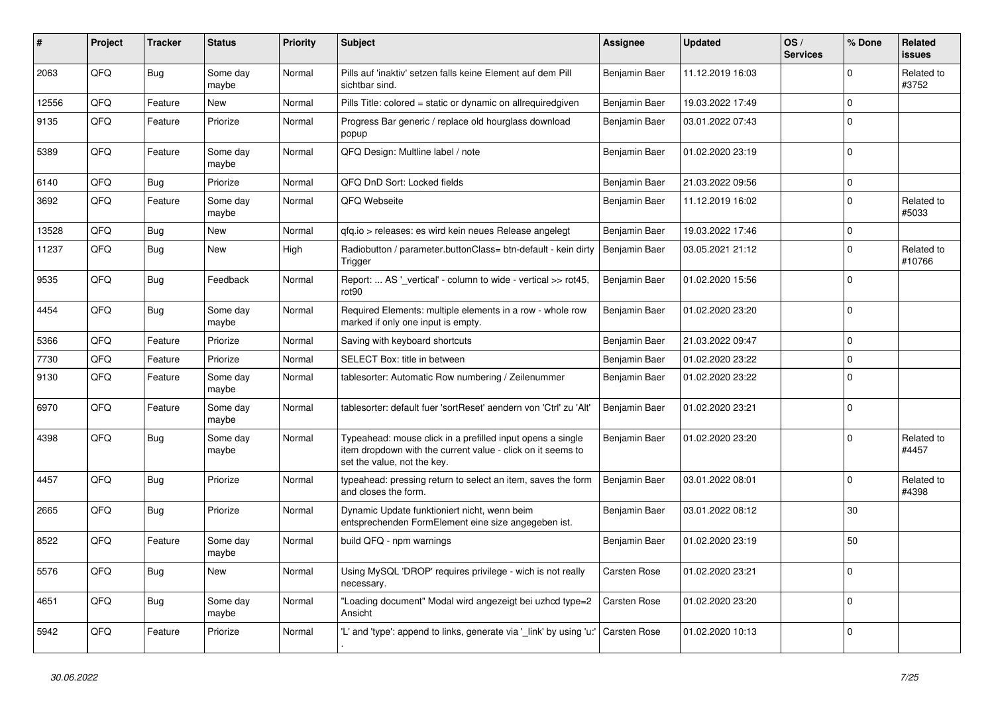| ∦     | Project | Tracker    | <b>Status</b>     | <b>Priority</b> | <b>Subject</b>                                                                                                                                           | Assignee            | <b>Updated</b>   | OS/<br><b>Services</b> | % Done      | Related<br>issues    |
|-------|---------|------------|-------------------|-----------------|----------------------------------------------------------------------------------------------------------------------------------------------------------|---------------------|------------------|------------------------|-------------|----------------------|
| 2063  | QFQ     | Bug        | Some day<br>maybe | Normal          | Pills auf 'inaktiv' setzen falls keine Element auf dem Pill<br>sichtbar sind.                                                                            | Benjamin Baer       | 11.12.2019 16:03 |                        | $\Omega$    | Related to<br>#3752  |
| 12556 | QFQ     | Feature    | <b>New</b>        | Normal          | Pills Title: colored = static or dynamic on allrequiredgiven                                                                                             | Benjamin Baer       | 19.03.2022 17:49 |                        | $\Omega$    |                      |
| 9135  | QFQ     | Feature    | Priorize          | Normal          | Progress Bar generic / replace old hourglass download<br>popup                                                                                           | Benjamin Baer       | 03.01.2022 07:43 |                        | $\Omega$    |                      |
| 5389  | QFQ     | Feature    | Some day<br>maybe | Normal          | QFQ Design: Multline label / note                                                                                                                        | Benjamin Baer       | 01.02.2020 23:19 |                        | $\Omega$    |                      |
| 6140  | QFQ     | Bug        | Priorize          | Normal          | QFQ DnD Sort: Locked fields                                                                                                                              | Benjamin Baer       | 21.03.2022 09:56 |                        | $\mathbf 0$ |                      |
| 3692  | QFQ     | Feature    | Some day<br>maybe | Normal          | QFQ Webseite                                                                                                                                             | Benjamin Baer       | 11.12.2019 16:02 |                        | $\Omega$    | Related to<br>#5033  |
| 13528 | QFQ     | Bug        | New               | Normal          | qfq.io > releases: es wird kein neues Release angelegt                                                                                                   | Benjamin Baer       | 19.03.2022 17:46 |                        | $\Omega$    |                      |
| 11237 | QFQ     | Bug        | <b>New</b>        | High            | Radiobutton / parameter.buttonClass= btn-default - kein dirty<br>Trigger                                                                                 | Benjamin Baer       | 03.05.2021 21:12 |                        | $\Omega$    | Related to<br>#10766 |
| 9535  | QFQ     | Bug        | Feedback          | Normal          | Report:  AS ' vertical' - column to wide - vertical >> rot45,<br>rot <sub>90</sub>                                                                       | Benjamin Baer       | 01.02.2020 15:56 |                        | $\Omega$    |                      |
| 4454  | QFQ     | Bug        | Some day<br>maybe | Normal          | Required Elements: multiple elements in a row - whole row<br>marked if only one input is empty.                                                          | Benjamin Baer       | 01.02.2020 23:20 |                        | $\Omega$    |                      |
| 5366  | QFQ     | Feature    | Priorize          | Normal          | Saving with keyboard shortcuts                                                                                                                           | Benjamin Baer       | 21.03.2022 09:47 |                        | $\Omega$    |                      |
| 7730  | QFQ     | Feature    | Priorize          | Normal          | SELECT Box: title in between                                                                                                                             | Benjamin Baer       | 01.02.2020 23:22 |                        | $\Omega$    |                      |
| 9130  | QFQ     | Feature    | Some day<br>maybe | Normal          | tablesorter: Automatic Row numbering / Zeilenummer                                                                                                       | Benjamin Baer       | 01.02.2020 23:22 |                        | $\Omega$    |                      |
| 6970  | QFQ     | Feature    | Some day<br>maybe | Normal          | tablesorter: default fuer 'sortReset' aendern von 'Ctrl' zu 'Alt'                                                                                        | Benjamin Baer       | 01.02.2020 23:21 |                        | $\mathbf 0$ |                      |
| 4398  | QFQ     | Bug        | Some day<br>maybe | Normal          | Typeahead: mouse click in a prefilled input opens a single<br>item dropdown with the current value - click on it seems to<br>set the value, not the key. | Benjamin Baer       | 01.02.2020 23:20 |                        | $\Omega$    | Related to<br>#4457  |
| 4457  | QFQ     | <b>Bug</b> | Priorize          | Normal          | typeahead: pressing return to select an item, saves the form<br>and closes the form.                                                                     | Benjamin Baer       | 03.01.2022 08:01 |                        | $\Omega$    | Related to<br>#4398  |
| 2665  | QFQ     | Bug        | Priorize          | Normal          | Dynamic Update funktioniert nicht, wenn beim<br>entsprechenden FormElement eine size angegeben ist.                                                      | Benjamin Baer       | 03.01.2022 08:12 |                        | 30          |                      |
| 8522  | QFQ     | Feature    | Some day<br>maybe | Normal          | build QFQ - npm warnings                                                                                                                                 | Benjamin Baer       | 01.02.2020 23:19 |                        | 50          |                      |
| 5576  | QFQ     | <b>Bug</b> | New               | Normal          | Using MySQL 'DROP' requires privilege - wich is not really<br>necessary.                                                                                 | <b>Carsten Rose</b> | 01.02.2020 23:21 |                        | $\Omega$    |                      |
| 4651  | QFQ     | Bug        | Some day<br>maybe | Normal          | 'Loading document" Modal wird angezeigt bei uzhcd type=2<br>Ansicht                                                                                      | <b>Carsten Rose</b> | 01.02.2020 23:20 |                        | $\Omega$    |                      |
| 5942  | QFQ     | Feature    | Priorize          | Normal          | "L' and 'type': append to links, generate via 'link' by using 'u:"                                                                                       | <b>Carsten Rose</b> | 01.02.2020 10:13 |                        | $\Omega$    |                      |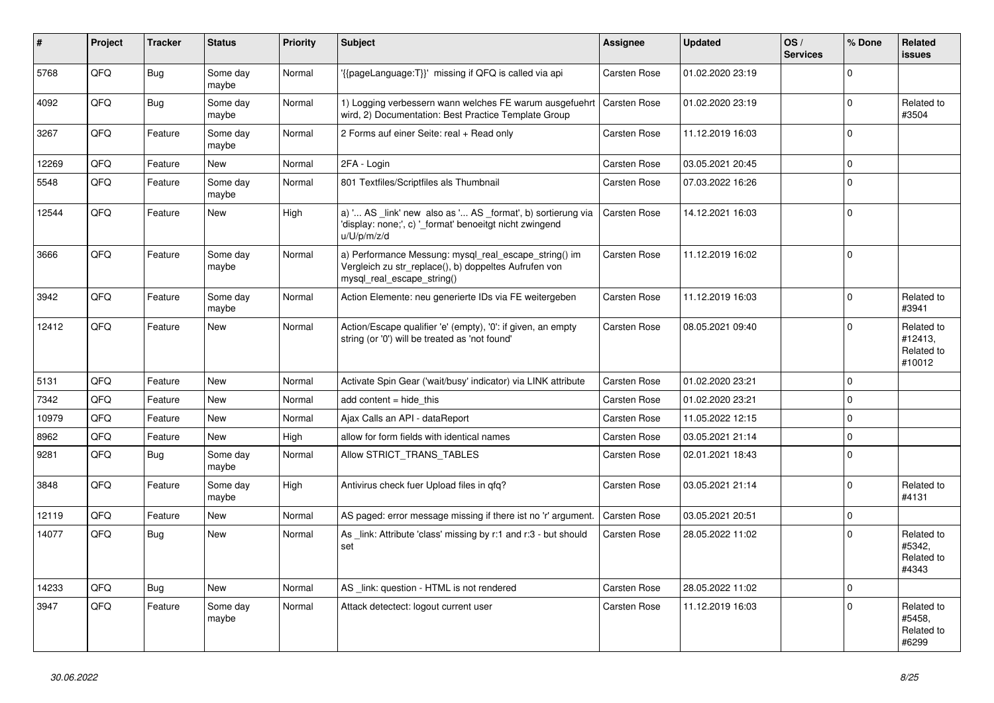| ∦     | Project | <b>Tracker</b> | <b>Status</b>     | <b>Priority</b> | <b>Subject</b>                                                                                                                               | Assignee            | <b>Updated</b>   | OS/<br><b>Services</b> | % Done   | Related<br>issues                             |
|-------|---------|----------------|-------------------|-----------------|----------------------------------------------------------------------------------------------------------------------------------------------|---------------------|------------------|------------------------|----------|-----------------------------------------------|
| 5768  | QFQ     | Bug            | Some day<br>maybe | Normal          | {{pageLanguage:T}}' missing if QFQ is called via api                                                                                         | <b>Carsten Rose</b> | 01.02.2020 23:19 |                        | $\Omega$ |                                               |
| 4092  | QFQ     | Bug            | Some day<br>maybe | Normal          | 1) Logging verbessern wann welches FE warum ausgefuehrt<br>wird, 2) Documentation: Best Practice Template Group                              | <b>Carsten Rose</b> | 01.02.2020 23:19 |                        | $\Omega$ | Related to<br>#3504                           |
| 3267  | QFQ     | Feature        | Some day<br>maybe | Normal          | 2 Forms auf einer Seite: real + Read only                                                                                                    | <b>Carsten Rose</b> | 11.12.2019 16:03 |                        | $\Omega$ |                                               |
| 12269 | QFQ     | Feature        | <b>New</b>        | Normal          | 2FA - Login                                                                                                                                  | <b>Carsten Rose</b> | 03.05.2021 20:45 |                        | $\Omega$ |                                               |
| 5548  | QFQ     | Feature        | Some day<br>maybe | Normal          | 801 Textfiles/Scriptfiles als Thumbnail                                                                                                      | <b>Carsten Rose</b> | 07.03.2022 16:26 |                        | $\Omega$ |                                               |
| 12544 | QFQ     | Feature        | <b>New</b>        | High            | a) ' AS _link' new also as ' AS _format', b) sortierung via<br>'display: none;', c) ' format' benoeitgt nicht zwingend<br>u/U/p/m/z/d        | <b>Carsten Rose</b> | 14.12.2021 16:03 |                        | $\Omega$ |                                               |
| 3666  | QFQ     | Feature        | Some day<br>maybe | Normal          | a) Performance Messung: mysql_real_escape_string() im<br>Vergleich zu str_replace(), b) doppeltes Aufrufen von<br>mysql real escape string() | <b>Carsten Rose</b> | 11.12.2019 16:02 |                        | $\Omega$ |                                               |
| 3942  | QFQ     | Feature        | Some day<br>maybe | Normal          | Action Elemente: neu generierte IDs via FE weitergeben                                                                                       | <b>Carsten Rose</b> | 11.12.2019 16:03 |                        | $\Omega$ | Related to<br>#3941                           |
| 12412 | QFQ     | Feature        | <b>New</b>        | Normal          | Action/Escape qualifier 'e' (empty), '0': if given, an empty<br>string (or '0') will be treated as 'not found'                               | <b>Carsten Rose</b> | 08.05.2021 09:40 |                        | $\Omega$ | Related to<br>#12413.<br>Related to<br>#10012 |
| 5131  | QFQ     | Feature        | <b>New</b>        | Normal          | Activate Spin Gear ('wait/busy' indicator) via LINK attribute                                                                                | Carsten Rose        | 01.02.2020 23:21 |                        | $\Omega$ |                                               |
| 7342  | QFQ     | Feature        | <b>New</b>        | Normal          | add content $=$ hide this                                                                                                                    | Carsten Rose        | 01.02.2020 23:21 |                        | $\Omega$ |                                               |
| 10979 | QFQ     | Feature        | New               | Normal          | Ajax Calls an API - dataReport                                                                                                               | Carsten Rose        | 11.05.2022 12:15 |                        | $\Omega$ |                                               |
| 8962  | QFQ     | Feature        | New               | High            | allow for form fields with identical names                                                                                                   | Carsten Rose        | 03.05.2021 21:14 |                        | $\Omega$ |                                               |
| 9281  | QFQ     | Bug            | Some day<br>maybe | Normal          | Allow STRICT TRANS TABLES                                                                                                                    | Carsten Rose        | 02.01.2021 18:43 |                        | $\Omega$ |                                               |
| 3848  | QFQ     | Feature        | Some day<br>maybe | High            | Antivirus check fuer Upload files in qfq?                                                                                                    | Carsten Rose        | 03.05.2021 21:14 |                        | $\Omega$ | Related to<br>#4131                           |
| 12119 | QFQ     | Feature        | <b>New</b>        | Normal          | AS paged: error message missing if there ist no 'r' argument.                                                                                | <b>Carsten Rose</b> | 03.05.2021 20:51 |                        | $\Omega$ |                                               |
| 14077 | QFQ     | Bug            | <b>New</b>        | Normal          | As link: Attribute 'class' missing by r:1 and r:3 - but should<br>set                                                                        | <b>Carsten Rose</b> | 28.05.2022 11:02 |                        | $\Omega$ | Related to<br>#5342,<br>Related to<br>#4343   |
| 14233 | QFQ     | Bug            | <b>New</b>        | Normal          | AS _link: question - HTML is not rendered                                                                                                    | <b>Carsten Rose</b> | 28.05.2022 11:02 |                        | $\Omega$ |                                               |
| 3947  | QFQ     | Feature        | Some day<br>maybe | Normal          | Attack detectect: logout current user                                                                                                        | Carsten Rose        | 11.12.2019 16:03 |                        | $\Omega$ | Related to<br>#5458,<br>Related to<br>#6299   |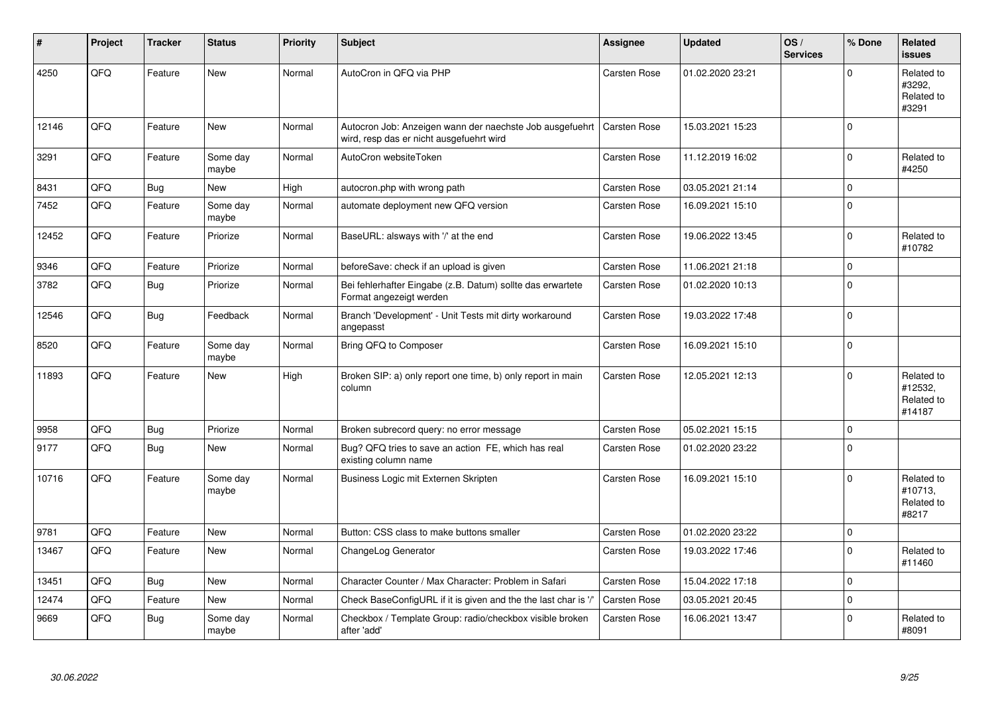| $\pmb{\sharp}$ | Project | <b>Tracker</b> | <b>Status</b>     | <b>Priority</b> | <b>Subject</b>                                                                                       | Assignee            | <b>Updated</b>   | OS/<br><b>Services</b> | % Done      | Related<br><b>issues</b>                      |
|----------------|---------|----------------|-------------------|-----------------|------------------------------------------------------------------------------------------------------|---------------------|------------------|------------------------|-------------|-----------------------------------------------|
| 4250           | QFQ     | Feature        | <b>New</b>        | Normal          | AutoCron in QFQ via PHP                                                                              | Carsten Rose        | 01.02.2020 23:21 |                        | $\Omega$    | Related to<br>#3292,<br>Related to<br>#3291   |
| 12146          | QFQ     | Feature        | <b>New</b>        | Normal          | Autocron Job: Anzeigen wann der naechste Job ausgefuehrt<br>wird, resp das er nicht ausgefuehrt wird | Carsten Rose        | 15.03.2021 15:23 |                        | $\mathbf 0$ |                                               |
| 3291           | QFQ     | Feature        | Some day<br>maybe | Normal          | AutoCron websiteToken                                                                                | <b>Carsten Rose</b> | 11.12.2019 16:02 |                        | $\mathbf 0$ | Related to<br>#4250                           |
| 8431           | QFQ     | Bug            | <b>New</b>        | High            | autocron.php with wrong path                                                                         | <b>Carsten Rose</b> | 03.05.2021 21:14 |                        | $\mathbf 0$ |                                               |
| 7452           | QFQ     | Feature        | Some day<br>maybe | Normal          | automate deployment new QFQ version                                                                  | <b>Carsten Rose</b> | 16.09.2021 15:10 |                        | $\mathbf 0$ |                                               |
| 12452          | QFQ     | Feature        | Priorize          | Normal          | BaseURL: alsways with '/' at the end                                                                 | Carsten Rose        | 19.06.2022 13:45 |                        | $\Omega$    | Related to<br>#10782                          |
| 9346           | QFQ     | Feature        | Priorize          | Normal          | beforeSave: check if an upload is given                                                              | <b>Carsten Rose</b> | 11.06.2021 21:18 |                        | $\mathbf 0$ |                                               |
| 3782           | QFQ     | Bug            | Priorize          | Normal          | Bei fehlerhafter Eingabe (z.B. Datum) sollte das erwartete<br>Format angezeigt werden                | Carsten Rose        | 01.02.2020 10:13 |                        | $\Omega$    |                                               |
| 12546          | QFQ     | <b>Bug</b>     | Feedback          | Normal          | Branch 'Development' - Unit Tests mit dirty workaround<br>angepasst                                  | <b>Carsten Rose</b> | 19.03.2022 17:48 |                        | $\mathbf 0$ |                                               |
| 8520           | QFQ     | Feature        | Some day<br>maybe | Normal          | Bring QFQ to Composer                                                                                | <b>Carsten Rose</b> | 16.09.2021 15:10 |                        | $\mathbf 0$ |                                               |
| 11893          | QFQ     | Feature        | New               | High            | Broken SIP: a) only report one time, b) only report in main<br>column                                | <b>Carsten Rose</b> | 12.05.2021 12:13 |                        | $\Omega$    | Related to<br>#12532,<br>Related to<br>#14187 |
| 9958           | QFQ     | <b>Bug</b>     | Priorize          | Normal          | Broken subrecord query: no error message                                                             | Carsten Rose        | 05.02.2021 15:15 |                        | $\mathbf 0$ |                                               |
| 9177           | QFQ     | Bug            | <b>New</b>        | Normal          | Bug? QFQ tries to save an action FE, which has real<br>existing column name                          | Carsten Rose        | 01.02.2020 23:22 |                        | $\Omega$    |                                               |
| 10716          | QFQ     | Feature        | Some day<br>maybe | Normal          | Business Logic mit Externen Skripten                                                                 | <b>Carsten Rose</b> | 16.09.2021 15:10 |                        | $\mathbf 0$ | Related to<br>#10713,<br>Related to<br>#8217  |
| 9781           | QFQ     | Feature        | <b>New</b>        | Normal          | Button: CSS class to make buttons smaller                                                            | Carsten Rose        | 01.02.2020 23:22 |                        | $\mathbf 0$ |                                               |
| 13467          | QFQ     | Feature        | <b>New</b>        | Normal          | ChangeLog Generator                                                                                  | <b>Carsten Rose</b> | 19.03.2022 17:46 |                        | $\mathbf 0$ | Related to<br>#11460                          |
| 13451          | QFQ     | Bug            | <b>New</b>        | Normal          | Character Counter / Max Character: Problem in Safari                                                 | <b>Carsten Rose</b> | 15.04.2022 17:18 |                        | $\mathbf 0$ |                                               |
| 12474          | QFQ     | Feature        | <b>New</b>        | Normal          | Check BaseConfigURL if it is given and the the last char is '/'                                      | Carsten Rose        | 03.05.2021 20:45 |                        | $\mathbf 0$ |                                               |
| 9669           | QFQ     | <b>Bug</b>     | Some day<br>maybe | Normal          | Checkbox / Template Group: radio/checkbox visible broken<br>after 'add'                              | Carsten Rose        | 16.06.2021 13:47 |                        | $\mathbf 0$ | Related to<br>#8091                           |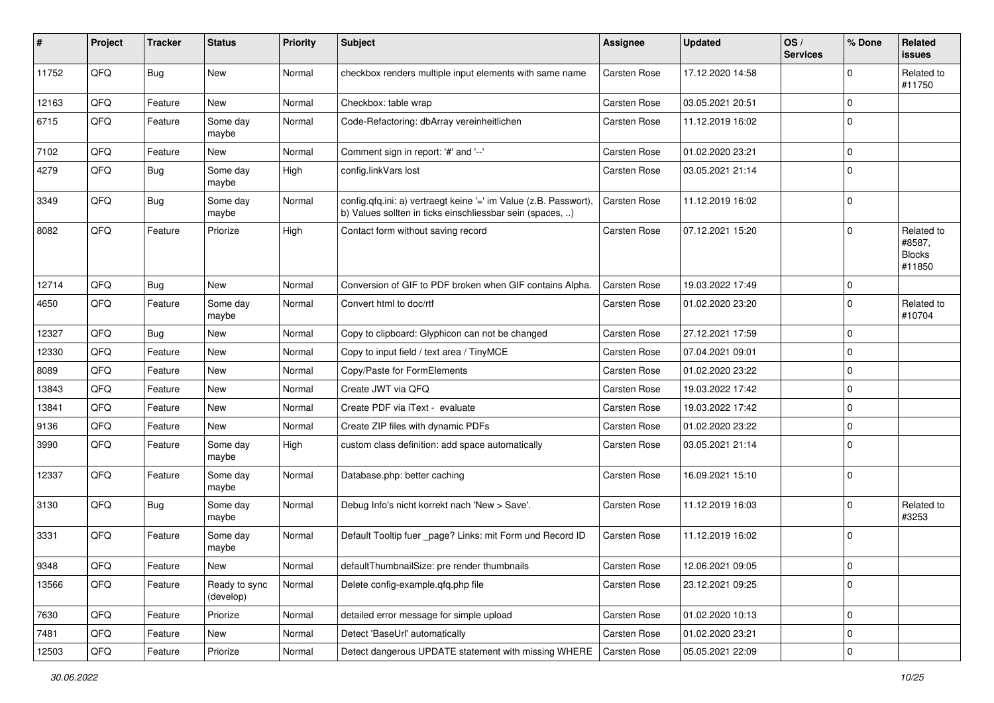| ∦     | Project | <b>Tracker</b> | <b>Status</b>              | <b>Priority</b> | Subject                                                                                                                       | <b>Assignee</b>     | <b>Updated</b>   | OS/<br><b>Services</b> | % Done      | Related<br>issues                               |
|-------|---------|----------------|----------------------------|-----------------|-------------------------------------------------------------------------------------------------------------------------------|---------------------|------------------|------------------------|-------------|-------------------------------------------------|
| 11752 | QFQ     | Bug            | <b>New</b>                 | Normal          | checkbox renders multiple input elements with same name                                                                       | Carsten Rose        | 17.12.2020 14:58 |                        | 0           | Related to<br>#11750                            |
| 12163 | QFQ     | Feature        | New                        | Normal          | Checkbox: table wrap                                                                                                          | <b>Carsten Rose</b> | 03.05.2021 20:51 |                        | $\mathbf 0$ |                                                 |
| 6715  | QFQ     | Feature        | Some day<br>maybe          | Normal          | Code-Refactoring: dbArray vereinheitlichen                                                                                    | Carsten Rose        | 11.12.2019 16:02 |                        | $\Omega$    |                                                 |
| 7102  | QFQ     | Feature        | <b>New</b>                 | Normal          | Comment sign in report: '#' and '--'                                                                                          | <b>Carsten Rose</b> | 01.02.2020 23:21 |                        | $\Omega$    |                                                 |
| 4279  | QFQ     | Bug            | Some day<br>maybe          | High            | config.linkVars lost                                                                                                          | Carsten Rose        | 03.05.2021 21:14 |                        | $\mathbf 0$ |                                                 |
| 3349  | QFQ     | Bug            | Some day<br>maybe          | Normal          | config.qfq.ini: a) vertraegt keine '=' im Value (z.B. Passwort),<br>b) Values sollten in ticks einschliessbar sein (spaces, ) | <b>Carsten Rose</b> | 11.12.2019 16:02 |                        | $\mathbf 0$ |                                                 |
| 8082  | QFQ     | Feature        | Priorize                   | High            | Contact form without saving record                                                                                            | <b>Carsten Rose</b> | 07.12.2021 15:20 |                        | $\Omega$    | Related to<br>#8587,<br><b>Blocks</b><br>#11850 |
| 12714 | QFQ     | Bug            | <b>New</b>                 | Normal          | Conversion of GIF to PDF broken when GIF contains Alpha.                                                                      | <b>Carsten Rose</b> | 19.03.2022 17:49 |                        | $\mathbf 0$ |                                                 |
| 4650  | QFQ     | Feature        | Some day<br>maybe          | Normal          | Convert html to doc/rtf                                                                                                       | <b>Carsten Rose</b> | 01.02.2020 23:20 |                        | $\Omega$    | Related to<br>#10704                            |
| 12327 | QFQ     | Bug            | New                        | Normal          | Copy to clipboard: Glyphicon can not be changed                                                                               | <b>Carsten Rose</b> | 27.12.2021 17:59 |                        | $\mathbf 0$ |                                                 |
| 12330 | QFQ     | Feature        | <b>New</b>                 | Normal          | Copy to input field / text area / TinyMCE                                                                                     | Carsten Rose        | 07.04.2021 09:01 |                        | $\Omega$    |                                                 |
| 8089  | QFQ     | Feature        | <b>New</b>                 | Normal          | Copy/Paste for FormElements                                                                                                   | <b>Carsten Rose</b> | 01.02.2020 23:22 |                        | $\Omega$    |                                                 |
| 13843 | QFQ     | Feature        | New                        | Normal          | Create JWT via QFQ                                                                                                            | <b>Carsten Rose</b> | 19.03.2022 17:42 |                        | $\mathbf 0$ |                                                 |
| 13841 | QFQ     | Feature        | New                        | Normal          | Create PDF via iText - evaluate                                                                                               | <b>Carsten Rose</b> | 19.03.2022 17:42 |                        | $\Omega$    |                                                 |
| 9136  | QFQ     | Feature        | New                        | Normal          | Create ZIP files with dynamic PDFs                                                                                            | <b>Carsten Rose</b> | 01.02.2020 23:22 |                        | $\mathbf 0$ |                                                 |
| 3990  | QFQ     | Feature        | Some day<br>maybe          | High            | custom class definition: add space automatically                                                                              | <b>Carsten Rose</b> | 03.05.2021 21:14 |                        | $\Omega$    |                                                 |
| 12337 | QFQ     | Feature        | Some day<br>maybe          | Normal          | Database.php: better caching                                                                                                  | <b>Carsten Rose</b> | 16.09.2021 15:10 |                        | $\Omega$    |                                                 |
| 3130  | QFQ     | Bug            | Some day<br>maybe          | Normal          | Debug Info's nicht korrekt nach 'New > Save'.                                                                                 | <b>Carsten Rose</b> | 11.12.2019 16:03 |                        | $\Omega$    | Related to<br>#3253                             |
| 3331  | QFQ     | Feature        | Some day<br>maybe          | Normal          | Default Tooltip fuer _page? Links: mit Form und Record ID                                                                     | <b>Carsten Rose</b> | 11.12.2019 16:02 |                        | $\Omega$    |                                                 |
| 9348  | QFQ     | Feature        | New                        | Normal          | defaultThumbnailSize: pre render thumbnails                                                                                   | Carsten Rose        | 12.06.2021 09:05 |                        | 0           |                                                 |
| 13566 | QFQ     | Feature        | Ready to sync<br>(develop) | Normal          | Delete config-example.qfq.php file                                                                                            | Carsten Rose        | 23.12.2021 09:25 |                        | $\mathbf 0$ |                                                 |
| 7630  | QFQ     | Feature        | Priorize                   | Normal          | detailed error message for simple upload                                                                                      | Carsten Rose        | 01.02.2020 10:13 |                        | $\mathbf 0$ |                                                 |
| 7481  | QFQ     | Feature        | <b>New</b>                 | Normal          | Detect 'BaseUrl' automatically                                                                                                | Carsten Rose        | 01.02.2020 23:21 |                        | 0           |                                                 |
| 12503 | QFQ     | Feature        | Priorize                   | Normal          | Detect dangerous UPDATE statement with missing WHERE                                                                          | <b>Carsten Rose</b> | 05.05.2021 22:09 |                        | $\mathbf 0$ |                                                 |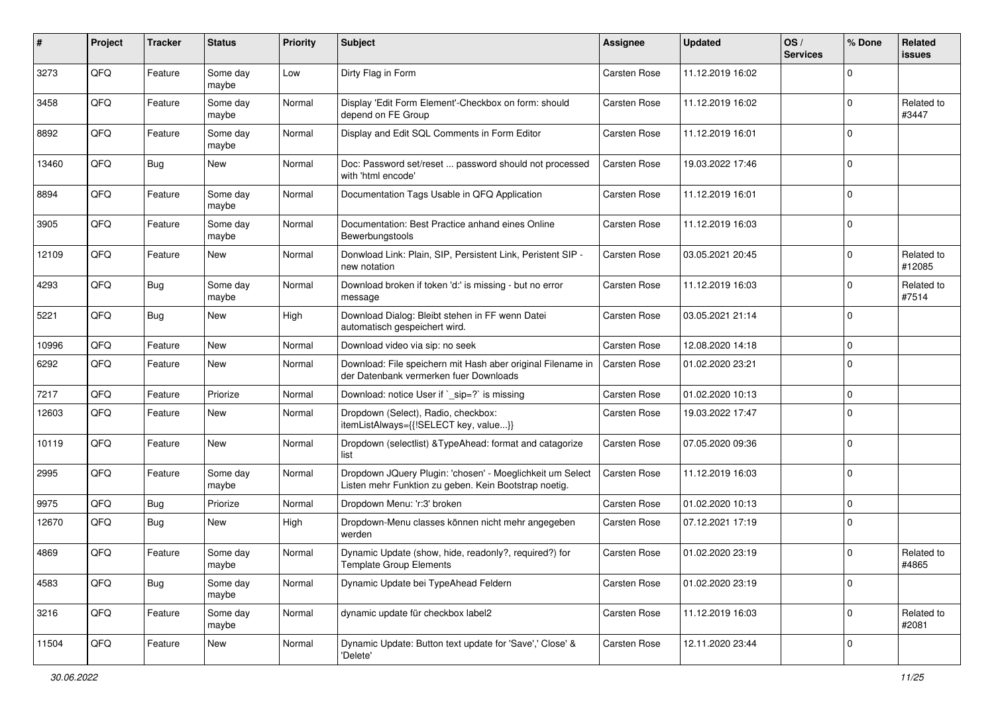| #     | Project | <b>Tracker</b> | <b>Status</b>     | <b>Priority</b> | <b>Subject</b>                                                                                                     | <b>Assignee</b>     | <b>Updated</b>   | OS/<br><b>Services</b> | % Done      | Related<br>issues    |
|-------|---------|----------------|-------------------|-----------------|--------------------------------------------------------------------------------------------------------------------|---------------------|------------------|------------------------|-------------|----------------------|
| 3273  | QFQ     | Feature        | Some day<br>maybe | Low             | Dirty Flag in Form                                                                                                 | Carsten Rose        | 11.12.2019 16:02 |                        | $\Omega$    |                      |
| 3458  | QFQ     | Feature        | Some day<br>maybe | Normal          | Display 'Edit Form Element'-Checkbox on form: should<br>depend on FE Group                                         | <b>Carsten Rose</b> | 11.12.2019 16:02 |                        | $\mathbf 0$ | Related to<br>#3447  |
| 8892  | QFQ     | Feature        | Some day<br>maybe | Normal          | Display and Edit SQL Comments in Form Editor                                                                       | <b>Carsten Rose</b> | 11.12.2019 16:01 |                        | $\Omega$    |                      |
| 13460 | QFQ     | <b>Bug</b>     | <b>New</b>        | Normal          | Doc: Password set/reset  password should not processed<br>with 'html encode'                                       | <b>Carsten Rose</b> | 19.03.2022 17:46 |                        | $\mathbf 0$ |                      |
| 8894  | QFQ     | Feature        | Some day<br>maybe | Normal          | Documentation Tags Usable in QFQ Application                                                                       | <b>Carsten Rose</b> | 11.12.2019 16:01 |                        | $\mathbf 0$ |                      |
| 3905  | QFQ     | Feature        | Some day<br>maybe | Normal          | Documentation: Best Practice anhand eines Online<br>Bewerbungstools                                                | <b>Carsten Rose</b> | 11.12.2019 16:03 |                        | $\Omega$    |                      |
| 12109 | QFQ     | Feature        | <b>New</b>        | Normal          | Donwload Link: Plain, SIP, Persistent Link, Peristent SIP -<br>new notation                                        | <b>Carsten Rose</b> | 03.05.2021 20:45 |                        | $\Omega$    | Related to<br>#12085 |
| 4293  | QFQ     | Bug            | Some day<br>maybe | Normal          | Download broken if token 'd:' is missing - but no error<br>message                                                 | Carsten Rose        | 11.12.2019 16:03 |                        | $\Omega$    | Related to<br>#7514  |
| 5221  | QFQ     | Bug            | <b>New</b>        | High            | Download Dialog: Bleibt stehen in FF wenn Datei<br>automatisch gespeichert wird.                                   | Carsten Rose        | 03.05.2021 21:14 |                        | 0           |                      |
| 10996 | QFQ     | Feature        | <b>New</b>        | Normal          | Download video via sip: no seek                                                                                    | <b>Carsten Rose</b> | 12.08.2020 14:18 |                        | 0           |                      |
| 6292  | QFQ     | Feature        | New               | Normal          | Download: File speichern mit Hash aber original Filename in<br>der Datenbank vermerken fuer Downloads              | <b>Carsten Rose</b> | 01.02.2020 23:21 |                        | $\Omega$    |                      |
| 7217  | QFQ     | Feature        | Priorize          | Normal          | Download: notice User if `_sip=?` is missing                                                                       | <b>Carsten Rose</b> | 01.02.2020 10:13 |                        | $\mathbf 0$ |                      |
| 12603 | QFQ     | Feature        | New               | Normal          | Dropdown (Select), Radio, checkbox:<br>itemListAlways={{!SELECT key, value}}                                       | <b>Carsten Rose</b> | 19.03.2022 17:47 |                        | $\mathbf 0$ |                      |
| 10119 | QFQ     | Feature        | New               | Normal          | Dropdown (selectlist) & Type Ahead: format and catagorize<br>list                                                  | <b>Carsten Rose</b> | 07.05.2020 09:36 |                        | 0           |                      |
| 2995  | QFQ     | Feature        | Some day<br>maybe | Normal          | Dropdown JQuery Plugin: 'chosen' - Moeglichkeit um Select<br>Listen mehr Funktion zu geben. Kein Bootstrap noetig. | <b>Carsten Rose</b> | 11.12.2019 16:03 |                        | $\Omega$    |                      |
| 9975  | QFQ     | Bug            | Priorize          | Normal          | Dropdown Menu: 'r:3' broken                                                                                        | <b>Carsten Rose</b> | 01.02.2020 10:13 |                        | $\mathbf 0$ |                      |
| 12670 | QFQ     | Bug            | <b>New</b>        | High            | Dropdown-Menu classes können nicht mehr angegeben<br>werden                                                        | <b>Carsten Rose</b> | 07.12.2021 17:19 |                        | $\Omega$    |                      |
| 4869  | QFQ     | Feature        | Some day<br>maybe | Normal          | Dynamic Update (show, hide, readonly?, required?) for<br><b>Template Group Elements</b>                            | Carsten Rose        | 01.02.2020 23:19 |                        | $\Omega$    | Related to<br>#4865  |
| 4583  | QFQ     | <b>Bug</b>     | Some day<br>maybe | Normal          | Dynamic Update bei TypeAhead Feldern                                                                               | Carsten Rose        | 01.02.2020 23:19 |                        | $\mathbf 0$ |                      |
| 3216  | QFQ     | Feature        | Some day<br>maybe | Normal          | dynamic update für checkbox label2                                                                                 | Carsten Rose        | 11.12.2019 16:03 |                        | $\mathbf 0$ | Related to<br>#2081  |
| 11504 | QFG     | Feature        | New               | Normal          | Dynamic Update: Button text update for 'Save',' Close' &<br>'Delete'                                               | Carsten Rose        | 12.11.2020 23:44 |                        | $\mathbf 0$ |                      |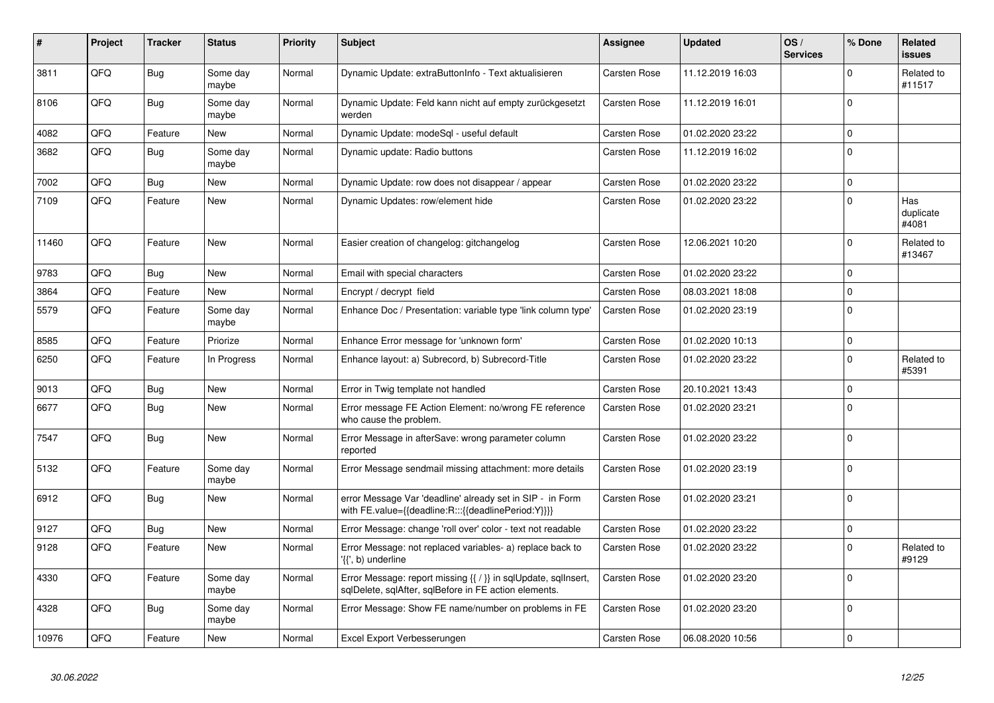| ∦     | Project | Tracker    | <b>Status</b>     | <b>Priority</b> | <b>Subject</b>                                                                                                          | Assignee            | <b>Updated</b>   | OS/<br><b>Services</b> | % Done      | Related<br>issues         |
|-------|---------|------------|-------------------|-----------------|-------------------------------------------------------------------------------------------------------------------------|---------------------|------------------|------------------------|-------------|---------------------------|
| 3811  | QFQ     | Bug        | Some day<br>maybe | Normal          | Dynamic Update: extraButtonInfo - Text aktualisieren                                                                    | <b>Carsten Rose</b> | 11.12.2019 16:03 |                        | $\Omega$    | Related to<br>#11517      |
| 8106  | QFQ     | Bug        | Some day<br>maybe | Normal          | Dynamic Update: Feld kann nicht auf empty zurückgesetzt<br>werden                                                       | <b>Carsten Rose</b> | 11.12.2019 16:01 |                        | $\Omega$    |                           |
| 4082  | QFQ     | Feature    | <b>New</b>        | Normal          | Dynamic Update: modeSql - useful default                                                                                | <b>Carsten Rose</b> | 01.02.2020 23:22 |                        | $\Omega$    |                           |
| 3682  | QFQ     | Bug        | Some day<br>maybe | Normal          | Dynamic update: Radio buttons                                                                                           | Carsten Rose        | 11.12.2019 16:02 |                        | $\mathbf 0$ |                           |
| 7002  | QFQ     | Bug        | New               | Normal          | Dynamic Update: row does not disappear / appear                                                                         | <b>Carsten Rose</b> | 01.02.2020 23:22 |                        | $\Omega$    |                           |
| 7109  | QFQ     | Feature    | <b>New</b>        | Normal          | Dynamic Updates: row/element hide                                                                                       | <b>Carsten Rose</b> | 01.02.2020 23:22 |                        | $\Omega$    | Has<br>duplicate<br>#4081 |
| 11460 | QFQ     | Feature    | <b>New</b>        | Normal          | Easier creation of changelog: gitchangelog                                                                              | <b>Carsten Rose</b> | 12.06.2021 10:20 |                        | $\Omega$    | Related to<br>#13467      |
| 9783  | QFQ     | Bug        | <b>New</b>        | Normal          | Email with special characters                                                                                           | <b>Carsten Rose</b> | 01.02.2020 23:22 |                        | $\Omega$    |                           |
| 3864  | QFQ     | Feature    | <b>New</b>        | Normal          | Encrypt / decrypt field                                                                                                 | <b>Carsten Rose</b> | 08.03.2021 18:08 |                        | $\mathbf 0$ |                           |
| 5579  | QFQ     | Feature    | Some day<br>maybe | Normal          | Enhance Doc / Presentation: variable type 'link column type'                                                            | <b>Carsten Rose</b> | 01.02.2020 23:19 |                        | $\Omega$    |                           |
| 8585  | QFQ     | Feature    | Priorize          | Normal          | Enhance Error message for 'unknown form'                                                                                | <b>Carsten Rose</b> | 01.02.2020 10:13 |                        | $\Omega$    |                           |
| 6250  | QFQ     | Feature    | In Progress       | Normal          | Enhance layout: a) Subrecord, b) Subrecord-Title                                                                        | <b>Carsten Rose</b> | 01.02.2020 23:22 |                        | $\Omega$    | Related to<br>#5391       |
| 9013  | QFQ     | <b>Bug</b> | <b>New</b>        | Normal          | Error in Twig template not handled                                                                                      | <b>Carsten Rose</b> | 20.10.2021 13:43 |                        | $\mathbf 0$ |                           |
| 6677  | QFQ     | Bug        | <b>New</b>        | Normal          | Error message FE Action Element: no/wrong FE reference<br>who cause the problem.                                        | <b>Carsten Rose</b> | 01.02.2020 23:21 |                        | $\Omega$    |                           |
| 7547  | QFQ     | Bug        | <b>New</b>        | Normal          | Error Message in afterSave: wrong parameter column<br>reported                                                          | <b>Carsten Rose</b> | 01.02.2020 23:22 |                        | $\Omega$    |                           |
| 5132  | QFQ     | Feature    | Some day<br>maybe | Normal          | Error Message sendmail missing attachment: more details                                                                 | <b>Carsten Rose</b> | 01.02.2020 23:19 |                        | $\Omega$    |                           |
| 6912  | QFQ     | <b>Bug</b> | <b>New</b>        | Normal          | error Message Var 'deadline' already set in SIP - in Form<br>with FE.value={{deadline:R:::{{deadlinePeriod:Y}}}}        | <b>Carsten Rose</b> | 01.02.2020 23:21 |                        | $\Omega$    |                           |
| 9127  | QFQ     | Bug        | <b>New</b>        | Normal          | Error Message: change 'roll over' color - text not readable                                                             | <b>Carsten Rose</b> | 01.02.2020 23:22 |                        | $\mathbf 0$ |                           |
| 9128  | QFQ     | Feature    | New               | Normal          | Error Message: not replaced variables- a) replace back to<br>'{{', b) underline                                         | <b>Carsten Rose</b> | 01.02.2020 23:22 |                        | $\Omega$    | Related to<br>#9129       |
| 4330  | QFQ     | Feature    | Some day<br>maybe | Normal          | Error Message: report missing {{ / }} in sqlUpdate, sqlInsert,<br>sqlDelete, sqlAfter, sqlBefore in FE action elements. | <b>Carsten Rose</b> | 01.02.2020 23:20 |                        | $\Omega$    |                           |
| 4328  | QFQ     | Bug        | Some day<br>maybe | Normal          | Error Message: Show FE name/number on problems in FE                                                                    | <b>Carsten Rose</b> | 01.02.2020 23:20 |                        | $\Omega$    |                           |
| 10976 | QFQ     | Feature    | <b>New</b>        | Normal          | Excel Export Verbesserungen                                                                                             | <b>Carsten Rose</b> | 06.08.2020 10:56 |                        | $\Omega$    |                           |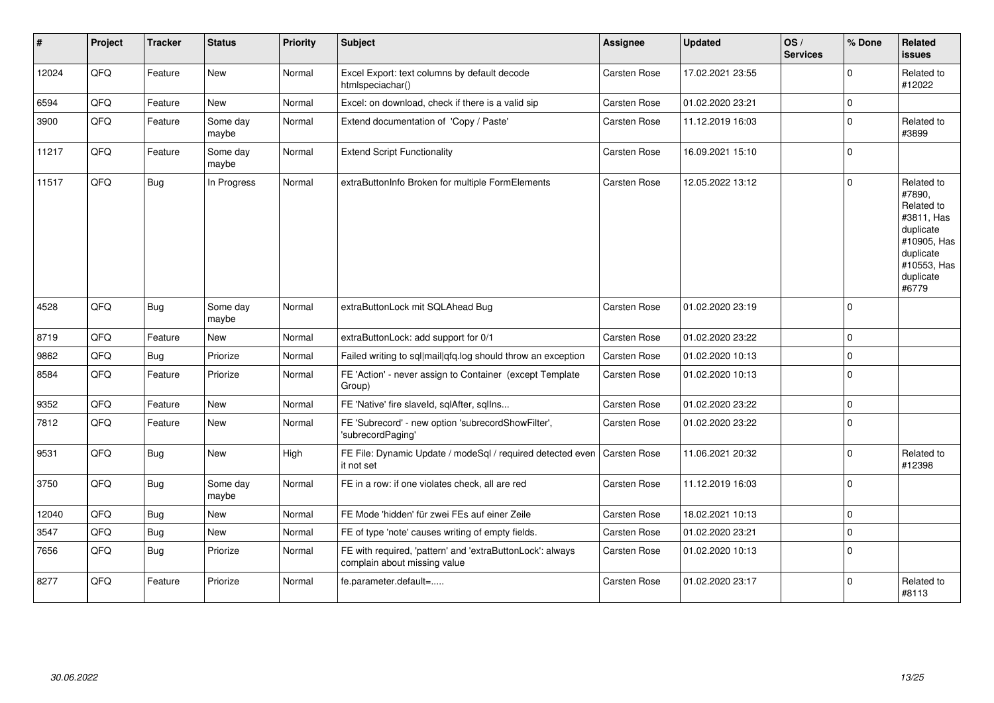| $\vert$ # | Project | <b>Tracker</b> | <b>Status</b>     | <b>Priority</b> | Subject                                                                                   | Assignee            | <b>Updated</b>   | OS/<br><b>Services</b> | % Done      | Related<br><b>issues</b>                                                                                                       |
|-----------|---------|----------------|-------------------|-----------------|-------------------------------------------------------------------------------------------|---------------------|------------------|------------------------|-------------|--------------------------------------------------------------------------------------------------------------------------------|
| 12024     | QFQ     | Feature        | New               | Normal          | Excel Export: text columns by default decode<br>htmlspeciachar()                          | Carsten Rose        | 17.02.2021 23:55 |                        | $\Omega$    | Related to<br>#12022                                                                                                           |
| 6594      | QFQ     | Feature        | New               | Normal          | Excel: on download, check if there is a valid sip                                         | Carsten Rose        | 01.02.2020 23:21 |                        | $\pmb{0}$   |                                                                                                                                |
| 3900      | QFQ     | Feature        | Some day<br>maybe | Normal          | Extend documentation of 'Copy / Paste'                                                    | Carsten Rose        | 11.12.2019 16:03 |                        | $\mathbf 0$ | Related to<br>#3899                                                                                                            |
| 11217     | QFQ     | Feature        | Some day<br>maybe | Normal          | <b>Extend Script Functionality</b>                                                        | Carsten Rose        | 16.09.2021 15:10 |                        | $\mathsf 0$ |                                                                                                                                |
| 11517     | QFQ     | <b>Bug</b>     | In Progress       | Normal          | extraButtonInfo Broken for multiple FormElements                                          | Carsten Rose        | 12.05.2022 13:12 |                        | $\pmb{0}$   | Related to<br>#7890,<br>Related to<br>#3811, Has<br>duplicate<br>#10905, Has<br>duplicate<br>#10553, Has<br>duplicate<br>#6779 |
| 4528      | QFQ     | Bug            | Some day<br>maybe | Normal          | extraButtonLock mit SQLAhead Bug                                                          | <b>Carsten Rose</b> | 01.02.2020 23:19 |                        | $\mathbf 0$ |                                                                                                                                |
| 8719      | QFQ     | Feature        | New               | Normal          | extraButtonLock: add support for 0/1                                                      | Carsten Rose        | 01.02.2020 23:22 |                        | $\pmb{0}$   |                                                                                                                                |
| 9862      | QFQ     | Bug            | Priorize          | Normal          | Failed writing to sql mail qfq.log should throw an exception                              | <b>Carsten Rose</b> | 01.02.2020 10:13 |                        | $\mathsf 0$ |                                                                                                                                |
| 8584      | QFQ     | Feature        | Priorize          | Normal          | FE 'Action' - never assign to Container (except Template<br>Group)                        | Carsten Rose        | 01.02.2020 10:13 |                        | $\mathbf 0$ |                                                                                                                                |
| 9352      | QFQ     | Feature        | New               | Normal          | FE 'Native' fire slaveld, sqlAfter, sqlIns                                                | Carsten Rose        | 01.02.2020 23:22 |                        | $\pmb{0}$   |                                                                                                                                |
| 7812      | QFQ     | Feature        | New               | Normal          | FE 'Subrecord' - new option 'subrecordShowFilter',<br>'subrecordPaging'                   | Carsten Rose        | 01.02.2020 23:22 |                        | $\mathbf 0$ |                                                                                                                                |
| 9531      | QFQ     | <b>Bug</b>     | New               | High            | FE File: Dynamic Update / modeSql / required detected even<br>it not set                  | <b>Carsten Rose</b> | 11.06.2021 20:32 |                        | $\mathbf 0$ | Related to<br>#12398                                                                                                           |
| 3750      | QFQ     | <b>Bug</b>     | Some day<br>maybe | Normal          | FE in a row: if one violates check, all are red                                           | Carsten Rose        | 11.12.2019 16:03 |                        | $\mathbf 0$ |                                                                                                                                |
| 12040     | QFQ     | <b>Bug</b>     | <b>New</b>        | Normal          | FE Mode 'hidden' für zwei FEs auf einer Zeile                                             | Carsten Rose        | 18.02.2021 10:13 |                        | $\mathbf 0$ |                                                                                                                                |
| 3547      | QFQ     | <b>Bug</b>     | <b>New</b>        | Normal          | FE of type 'note' causes writing of empty fields.                                         | <b>Carsten Rose</b> | 01.02.2020 23:21 |                        | $\mathbf 0$ |                                                                                                                                |
| 7656      | QFQ     | <b>Bug</b>     | Priorize          | Normal          | FE with required, 'pattern' and 'extraButtonLock': always<br>complain about missing value | Carsten Rose        | 01.02.2020 10:13 |                        | $\mathsf 0$ |                                                                                                                                |
| 8277      | QFQ     | Feature        | Priorize          | Normal          | fe.parameter.default=                                                                     | <b>Carsten Rose</b> | 01.02.2020 23:17 |                        | $\mathbf 0$ | Related to<br>#8113                                                                                                            |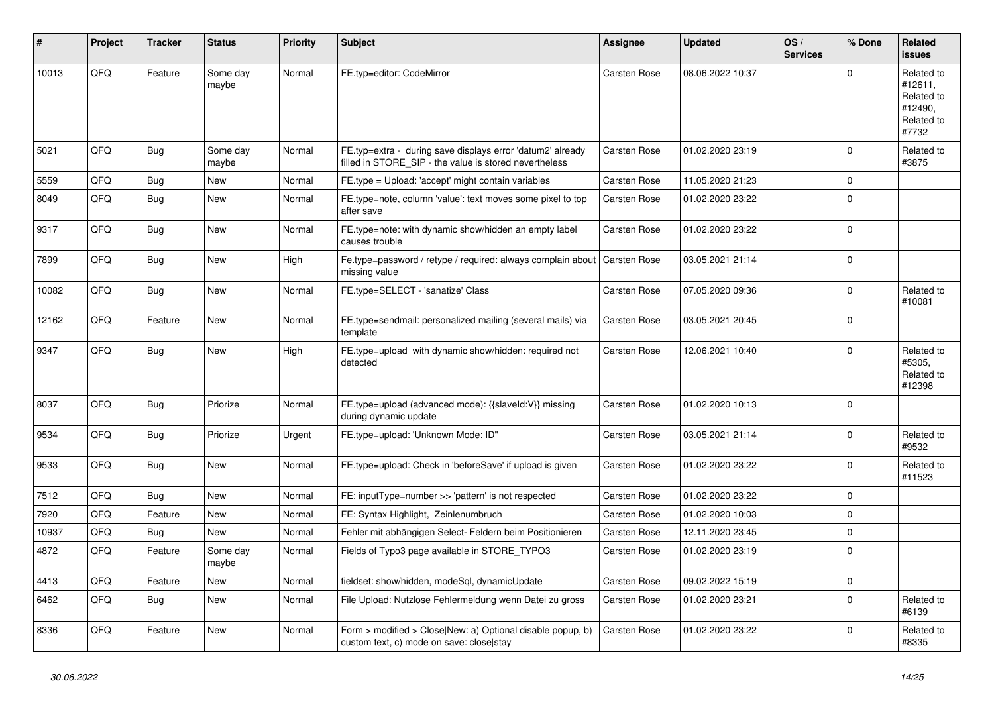| #     | Project | <b>Tracker</b> | <b>Status</b>     | <b>Priority</b> | <b>Subject</b>                                                                                                       | Assignee            | <b>Updated</b>   | OS/<br><b>Services</b> | % Done      | Related<br><b>issues</b>                                              |
|-------|---------|----------------|-------------------|-----------------|----------------------------------------------------------------------------------------------------------------------|---------------------|------------------|------------------------|-------------|-----------------------------------------------------------------------|
| 10013 | QFQ     | Feature        | Some day<br>maybe | Normal          | FE.typ=editor: CodeMirror                                                                                            | <b>Carsten Rose</b> | 08.06.2022 10:37 |                        | $\Omega$    | Related to<br>#12611,<br>Related to<br>#12490.<br>Related to<br>#7732 |
| 5021  | QFQ     | <b>Bug</b>     | Some day<br>maybe | Normal          | FE.typ=extra - during save displays error 'datum2' already<br>filled in STORE SIP - the value is stored nevertheless | <b>Carsten Rose</b> | 01.02.2020 23:19 |                        | $\Omega$    | Related to<br>#3875                                                   |
| 5559  | QFQ     | <b>Bug</b>     | <b>New</b>        | Normal          | FE.type = Upload: 'accept' might contain variables                                                                   | <b>Carsten Rose</b> | 11.05.2020 21:23 |                        | $\Omega$    |                                                                       |
| 8049  | QFQ     | Bug            | <b>New</b>        | Normal          | FE.type=note, column 'value': text moves some pixel to top<br>after save                                             | <b>Carsten Rose</b> | 01.02.2020 23:22 |                        | $\Omega$    |                                                                       |
| 9317  | QFQ     | Bug            | <b>New</b>        | Normal          | FE.type=note: with dynamic show/hidden an empty label<br>causes trouble                                              | <b>Carsten Rose</b> | 01.02.2020 23:22 |                        | $\Omega$    |                                                                       |
| 7899  | QFQ     | <b>Bug</b>     | <b>New</b>        | High            | Fe.type=password / retype / required: always complain about<br>missing value                                         | <b>Carsten Rose</b> | 03.05.2021 21:14 |                        | $\mathbf 0$ |                                                                       |
| 10082 | QFQ     | Bug            | <b>New</b>        | Normal          | FE.type=SELECT - 'sanatize' Class                                                                                    | Carsten Rose        | 07.05.2020 09:36 |                        | $\Omega$    | Related to<br>#10081                                                  |
| 12162 | QFQ     | Feature        | <b>New</b>        | Normal          | FE.type=sendmail: personalized mailing (several mails) via<br>template                                               | <b>Carsten Rose</b> | 03.05.2021 20:45 |                        | $\Omega$    |                                                                       |
| 9347  | QFQ     | <b>Bug</b>     | <b>New</b>        | High            | FE.type=upload with dynamic show/hidden: required not<br>detected                                                    | <b>Carsten Rose</b> | 12.06.2021 10:40 |                        | $\Omega$    | Related to<br>#5305,<br>Related to<br>#12398                          |
| 8037  | QFQ     | <b>Bug</b>     | Priorize          | Normal          | FE.type=upload (advanced mode): {{slaveld:V}} missing<br>during dynamic update                                       | Carsten Rose        | 01.02.2020 10:13 |                        | $\Omega$    |                                                                       |
| 9534  | QFQ     | <b>Bug</b>     | Priorize          | Urgent          | FE.type=upload: 'Unknown Mode: ID"                                                                                   | <b>Carsten Rose</b> | 03.05.2021 21:14 |                        | $\Omega$    | Related to<br>#9532                                                   |
| 9533  | QFQ     | <b>Bug</b>     | New               | Normal          | FE.type=upload: Check in 'beforeSave' if upload is given                                                             | <b>Carsten Rose</b> | 01.02.2020 23:22 |                        | $\Omega$    | Related to<br>#11523                                                  |
| 7512  | QFQ     | <b>Bug</b>     | <b>New</b>        | Normal          | FE: inputType=number >> 'pattern' is not respected                                                                   | Carsten Rose        | 01.02.2020 23:22 |                        | $\mathbf 0$ |                                                                       |
| 7920  | QFQ     | Feature        | New               | Normal          | FE: Syntax Highlight, Zeinlenumbruch                                                                                 | Carsten Rose        | 01.02.2020 10:03 |                        | $\Omega$    |                                                                       |
| 10937 | QFQ     | <b>Bug</b>     | New               | Normal          | Fehler mit abhängigen Select- Feldern beim Positionieren                                                             | Carsten Rose        | 12.11.2020 23:45 |                        | $\Omega$    |                                                                       |
| 4872  | QFQ     | Feature        | Some day<br>maybe | Normal          | Fields of Typo3 page available in STORE_TYPO3                                                                        | Carsten Rose        | 01.02.2020 23:19 |                        | $\Omega$    |                                                                       |
| 4413  | QFQ     | Feature        | <b>New</b>        | Normal          | fieldset: show/hidden, modeSql, dynamicUpdate                                                                        | <b>Carsten Rose</b> | 09.02.2022 15:19 |                        | $\mathbf 0$ |                                                                       |
| 6462  | QFQ     | <b>Bug</b>     | <b>New</b>        | Normal          | File Upload: Nutzlose Fehlermeldung wenn Datei zu gross                                                              | Carsten Rose        | 01.02.2020 23:21 |                        | $\Omega$    | Related to<br>#6139                                                   |
| 8336  | QFQ     | Feature        | <b>New</b>        | Normal          | Form > modified > Close New: a) Optional disable popup, b)<br>custom text, c) mode on save: close stay               | Carsten Rose        | 01.02.2020 23:22 |                        | $\Omega$    | Related to<br>#8335                                                   |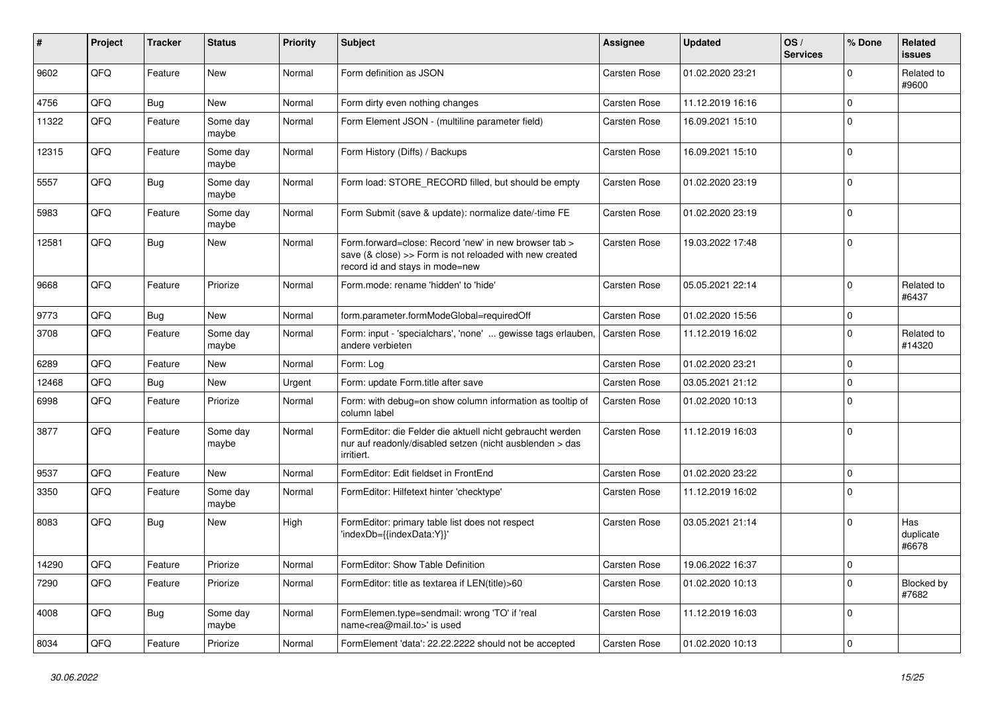| ∦     | Project | <b>Tracker</b> | <b>Status</b>     | <b>Priority</b> | <b>Subject</b>                                                                                                                                      | <b>Assignee</b>     | <b>Updated</b>   | OS/<br><b>Services</b> | % Done         | <b>Related</b><br><b>issues</b> |
|-------|---------|----------------|-------------------|-----------------|-----------------------------------------------------------------------------------------------------------------------------------------------------|---------------------|------------------|------------------------|----------------|---------------------------------|
| 9602  | QFQ     | Feature        | New               | Normal          | Form definition as JSON                                                                                                                             | <b>Carsten Rose</b> | 01.02.2020 23:21 |                        | $\Omega$       | Related to<br>#9600             |
| 4756  | QFQ     | Bug            | <b>New</b>        | Normal          | Form dirty even nothing changes                                                                                                                     | <b>Carsten Rose</b> | 11.12.2019 16:16 |                        | $\Omega$       |                                 |
| 11322 | QFQ     | Feature        | Some day<br>maybe | Normal          | Form Element JSON - (multiline parameter field)                                                                                                     | <b>Carsten Rose</b> | 16.09.2021 15:10 |                        | $\Omega$       |                                 |
| 12315 | QFQ     | Feature        | Some day<br>maybe | Normal          | Form History (Diffs) / Backups                                                                                                                      | <b>Carsten Rose</b> | 16.09.2021 15:10 |                        | $\Omega$       |                                 |
| 5557  | QFQ     | Bug            | Some day<br>maybe | Normal          | Form load: STORE RECORD filled, but should be empty                                                                                                 | <b>Carsten Rose</b> | 01.02.2020 23:19 |                        | $\Omega$       |                                 |
| 5983  | QFQ     | Feature        | Some day<br>maybe | Normal          | Form Submit (save & update): normalize date/-time FE                                                                                                | <b>Carsten Rose</b> | 01.02.2020 23:19 |                        | $\Omega$       |                                 |
| 12581 | QFQ     | Bug            | <b>New</b>        | Normal          | Form.forward=close: Record 'new' in new browser tab ><br>save (& close) >> Form is not reloaded with new created<br>record id and stays in mode=new | <b>Carsten Rose</b> | 19.03.2022 17:48 |                        | $\mathbf 0$    |                                 |
| 9668  | QFQ     | Feature        | Priorize          | Normal          | Form.mode: rename 'hidden' to 'hide'                                                                                                                | <b>Carsten Rose</b> | 05.05.2021 22:14 |                        | $\Omega$       | Related to<br>#6437             |
| 9773  | QFQ     | Bug            | <b>New</b>        | Normal          | form.parameter.formModeGlobal=requiredOff                                                                                                           | Carsten Rose        | 01.02.2020 15:56 |                        | $\mathbf 0$    |                                 |
| 3708  | QFQ     | Feature        | Some day<br>maybe | Normal          | Form: input - 'specialchars', 'none'  gewisse tags erlauben,<br>andere verbieten                                                                    | Carsten Rose        | 11.12.2019 16:02 |                        | $\Omega$       | Related to<br>#14320            |
| 6289  | QFQ     | Feature        | New               | Normal          | Form: Log                                                                                                                                           | <b>Carsten Rose</b> | 01.02.2020 23:21 |                        | $\mathbf 0$    |                                 |
| 12468 | QFQ     | <b>Bug</b>     | New               | Urgent          | Form: update Form.title after save                                                                                                                  | Carsten Rose        | 03.05.2021 21:12 |                        | $\mathbf 0$    |                                 |
| 6998  | QFQ     | Feature        | Priorize          | Normal          | Form: with debug=on show column information as tooltip of<br>column label                                                                           | Carsten Rose        | 01.02.2020 10:13 |                        | $\mathbf 0$    |                                 |
| 3877  | QFQ     | Feature        | Some day<br>maybe | Normal          | FormEditor: die Felder die aktuell nicht gebraucht werden<br>nur auf readonly/disabled setzen (nicht ausblenden > das<br>irritiert.                 | <b>Carsten Rose</b> | 11.12.2019 16:03 |                        | $\Omega$       |                                 |
| 9537  | QFQ     | Feature        | <b>New</b>        | Normal          | FormEditor: Edit fieldset in FrontEnd                                                                                                               | <b>Carsten Rose</b> | 01.02.2020 23:22 |                        | $\mathbf 0$    |                                 |
| 3350  | QFQ     | Feature        | Some day<br>maybe | Normal          | FormEditor: Hilfetext hinter 'checktype'                                                                                                            | <b>Carsten Rose</b> | 11.12.2019 16:02 |                        | $\Omega$       |                                 |
| 8083  | QFQ     | Bug            | New               | High            | FormEditor: primary table list does not respect<br>'indexDb={{indexData:Y}}'                                                                        | <b>Carsten Rose</b> | 03.05.2021 21:14 |                        | $\Omega$       | Has<br>duplicate<br>#6678       |
| 14290 | QFQ     | Feature        | Priorize          | Normal          | FormEditor: Show Table Definition                                                                                                                   | Carsten Rose        | 19.06.2022 16:37 |                        | $\Omega$       |                                 |
| 7290  | QFQ     | Feature        | Priorize          | Normal          | FormEditor: title as textarea if LEN(title)>60                                                                                                      | Carsten Rose        | 01.02.2020 10:13 |                        | $\Omega$       | Blocked by<br>#7682             |
| 4008  | QFQ     | Bug            | Some day<br>maybe | Normal          | FormElemen.type=sendmail: wrong 'TO' if 'real<br>name <rea@mail.to>' is used</rea@mail.to>                                                          | Carsten Rose        | 11.12.2019 16:03 |                        | $\Omega$       |                                 |
| 8034  | QFQ     | Feature        | Priorize          | Normal          | FormElement 'data': 22.22.2222 should not be accepted                                                                                               | Carsten Rose        | 01.02.2020 10:13 |                        | $\overline{0}$ |                                 |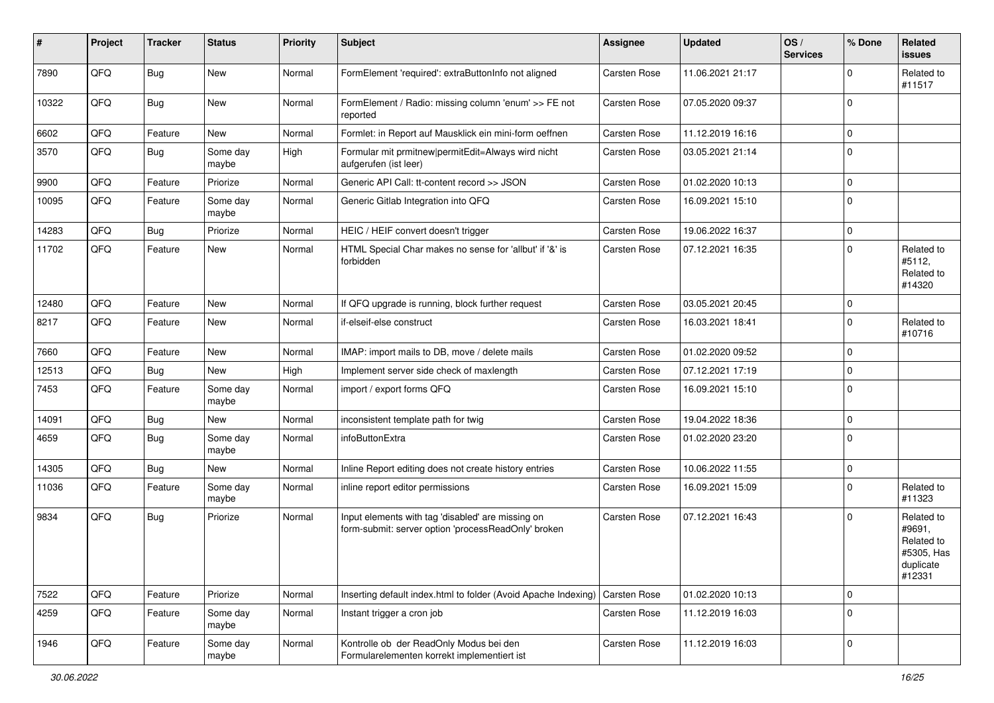| #     | Project | <b>Tracker</b> | <b>Status</b>     | <b>Priority</b> | Subject                                                                                                  | Assignee            | <b>Updated</b>   | OS/<br><b>Services</b> | % Done      | Related<br>issues                                                       |
|-------|---------|----------------|-------------------|-----------------|----------------------------------------------------------------------------------------------------------|---------------------|------------------|------------------------|-------------|-------------------------------------------------------------------------|
| 7890  | QFQ     | Bug            | New               | Normal          | FormElement 'required': extraButtonInfo not aligned                                                      | Carsten Rose        | 11.06.2021 21:17 |                        | $\Omega$    | Related to<br>#11517                                                    |
| 10322 | QFQ     | Bug            | <b>New</b>        | Normal          | FormElement / Radio: missing column 'enum' >> FE not<br>reported                                         | <b>Carsten Rose</b> | 07.05.2020 09:37 |                        | $\Omega$    |                                                                         |
| 6602  | QFQ     | Feature        | New               | Normal          | Formlet: in Report auf Mausklick ein mini-form oeffnen                                                   | <b>Carsten Rose</b> | 11.12.2019 16:16 |                        | $\Omega$    |                                                                         |
| 3570  | QFQ     | Bug            | Some day<br>maybe | High            | Formular mit prmitnew permitEdit=Always wird nicht<br>aufgerufen (ist leer)                              | <b>Carsten Rose</b> | 03.05.2021 21:14 |                        | $\Omega$    |                                                                         |
| 9900  | QFQ     | Feature        | Priorize          | Normal          | Generic API Call: tt-content record >> JSON                                                              | Carsten Rose        | 01.02.2020 10:13 |                        | $\mathbf 0$ |                                                                         |
| 10095 | QFQ     | Feature        | Some day<br>maybe | Normal          | Generic Gitlab Integration into QFQ                                                                      | <b>Carsten Rose</b> | 16.09.2021 15:10 |                        | $\Omega$    |                                                                         |
| 14283 | QFQ     | <b>Bug</b>     | Priorize          | Normal          | HEIC / HEIF convert doesn't trigger                                                                      | <b>Carsten Rose</b> | 19.06.2022 16:37 |                        | $\mathbf 0$ |                                                                         |
| 11702 | QFQ     | Feature        | New               | Normal          | HTML Special Char makes no sense for 'allbut' if '&' is<br>forbidden                                     | Carsten Rose        | 07.12.2021 16:35 |                        | $\Omega$    | Related to<br>#5112,<br>Related to<br>#14320                            |
| 12480 | QFQ     | Feature        | <b>New</b>        | Normal          | If QFQ upgrade is running, block further request                                                         | <b>Carsten Rose</b> | 03.05.2021 20:45 |                        | 0           |                                                                         |
| 8217  | QFQ     | Feature        | <b>New</b>        | Normal          | if-elseif-else construct                                                                                 | <b>Carsten Rose</b> | 16.03.2021 18:41 |                        | $\Omega$    | Related to<br>#10716                                                    |
| 7660  | QFQ     | Feature        | New               | Normal          | IMAP: import mails to DB, move / delete mails                                                            | Carsten Rose        | 01.02.2020 09:52 |                        | $\Omega$    |                                                                         |
| 12513 | QFQ     | Bug            | New               | High            | Implement server side check of maxlength                                                                 | <b>Carsten Rose</b> | 07.12.2021 17:19 |                        | $\mathbf 0$ |                                                                         |
| 7453  | QFQ     | Feature        | Some day<br>maybe | Normal          | import / export forms QFQ                                                                                | <b>Carsten Rose</b> | 16.09.2021 15:10 |                        | $\Omega$    |                                                                         |
| 14091 | QFQ     | <b>Bug</b>     | New               | Normal          | inconsistent template path for twig                                                                      | Carsten Rose        | 19.04.2022 18:36 |                        | $\mathbf 0$ |                                                                         |
| 4659  | QFQ     | <b>Bug</b>     | Some day<br>maybe | Normal          | infoButtonExtra                                                                                          | <b>Carsten Rose</b> | 01.02.2020 23:20 |                        | $\Omega$    |                                                                         |
| 14305 | QFQ     | Bug            | New               | Normal          | Inline Report editing does not create history entries                                                    | Carsten Rose        | 10.06.2022 11:55 |                        | $\mathbf 0$ |                                                                         |
| 11036 | QFQ     | Feature        | Some day<br>maybe | Normal          | inline report editor permissions                                                                         | Carsten Rose        | 16.09.2021 15:09 |                        | $\Omega$    | Related to<br>#11323                                                    |
| 9834  | QFQ     | <b>Bug</b>     | Priorize          | Normal          | Input elements with tag 'disabled' are missing on<br>form-submit: server option 'processReadOnly' broken | <b>Carsten Rose</b> | 07.12.2021 16:43 |                        | $\Omega$    | Related to<br>#9691,<br>Related to<br>#5305, Has<br>duplicate<br>#12331 |
| 7522  | QFQ     | Feature        | Priorize          | Normal          | Inserting default index.html to folder (Avoid Apache Indexing)                                           | Carsten Rose        | 01.02.2020 10:13 |                        | 0           |                                                                         |
| 4259  | QFQ     | Feature        | Some day<br>maybe | Normal          | Instant trigger a cron job                                                                               | Carsten Rose        | 11.12.2019 16:03 |                        | $\mathbf 0$ |                                                                         |
| 1946  | QFQ     | Feature        | Some day<br>maybe | Normal          | Kontrolle ob der ReadOnly Modus bei den<br>Formularelementen korrekt implementiert ist                   | Carsten Rose        | 11.12.2019 16:03 |                        | $\mathbf 0$ |                                                                         |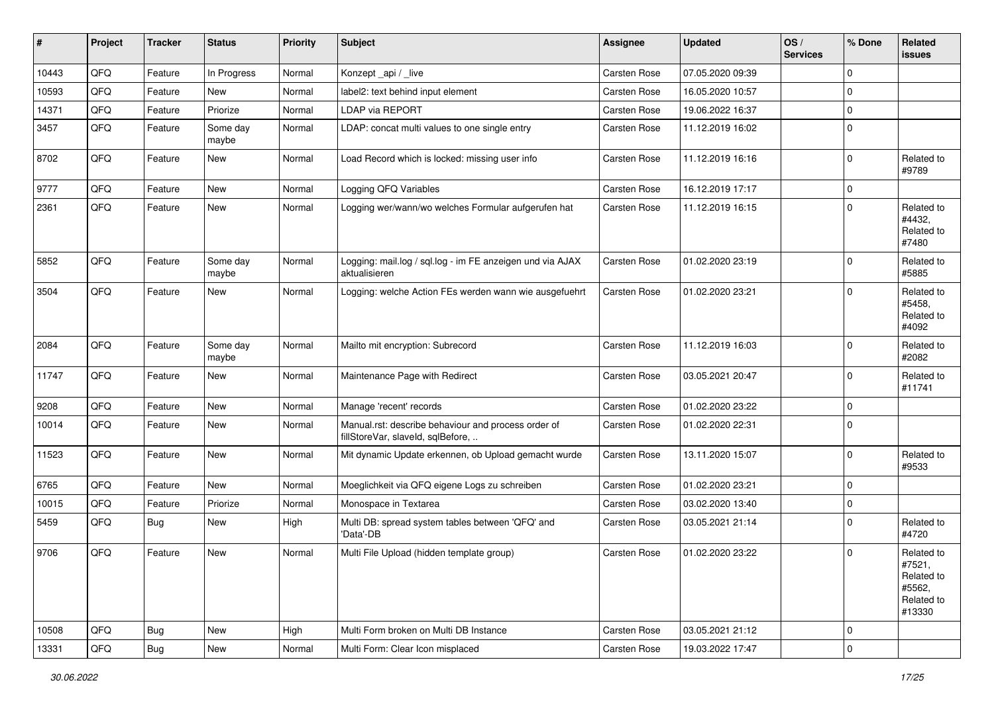| ∦     | Project | <b>Tracker</b> | <b>Status</b>     | <b>Priority</b> | <b>Subject</b>                                                                           | <b>Assignee</b> | <b>Updated</b>   | OS/<br><b>Services</b> | % Done      | Related<br><b>issues</b>                                             |
|-------|---------|----------------|-------------------|-----------------|------------------------------------------------------------------------------------------|-----------------|------------------|------------------------|-------------|----------------------------------------------------------------------|
| 10443 | QFQ     | Feature        | In Progress       | Normal          | Konzept_api / _live                                                                      | Carsten Rose    | 07.05.2020 09:39 |                        | $\mathbf 0$ |                                                                      |
| 10593 | QFQ     | Feature        | New               | Normal          | label2: text behind input element                                                        | Carsten Rose    | 16.05.2020 10:57 |                        | $\mathbf 0$ |                                                                      |
| 14371 | QFQ     | Feature        | Priorize          | Normal          | <b>LDAP via REPORT</b>                                                                   | Carsten Rose    | 19.06.2022 16:37 |                        | $\mathbf 0$ |                                                                      |
| 3457  | QFQ     | Feature        | Some day<br>maybe | Normal          | LDAP: concat multi values to one single entry                                            | Carsten Rose    | 11.12.2019 16:02 |                        | $\mathbf 0$ |                                                                      |
| 8702  | QFQ     | Feature        | <b>New</b>        | Normal          | Load Record which is locked: missing user info                                           | Carsten Rose    | 11.12.2019 16:16 |                        | $\mathbf 0$ | Related to<br>#9789                                                  |
| 9777  | QFQ     | Feature        | <b>New</b>        | Normal          | Logging QFQ Variables                                                                    | Carsten Rose    | 16.12.2019 17:17 |                        | $\mathbf 0$ |                                                                      |
| 2361  | QFQ     | Feature        | <b>New</b>        | Normal          | Logging wer/wann/wo welches Formular aufgerufen hat                                      | Carsten Rose    | 11.12.2019 16:15 |                        | $\mathbf 0$ | Related to<br>#4432.<br>Related to<br>#7480                          |
| 5852  | QFQ     | Feature        | Some day<br>maybe | Normal          | Logging: mail.log / sql.log - im FE anzeigen und via AJAX<br>aktualisieren               | Carsten Rose    | 01.02.2020 23:19 |                        | 0           | Related to<br>#5885                                                  |
| 3504  | QFQ     | Feature        | New               | Normal          | Logging: welche Action FEs werden wann wie ausgefuehrt                                   | Carsten Rose    | 01.02.2020 23:21 |                        | $\mathbf 0$ | Related to<br>#5458.<br>Related to<br>#4092                          |
| 2084  | QFQ     | Feature        | Some day<br>maybe | Normal          | Mailto mit encryption: Subrecord                                                         | Carsten Rose    | 11.12.2019 16:03 |                        | 0           | Related to<br>#2082                                                  |
| 11747 | QFQ     | Feature        | New               | Normal          | Maintenance Page with Redirect                                                           | Carsten Rose    | 03.05.2021 20:47 |                        | $\mathbf 0$ | Related to<br>#11741                                                 |
| 9208  | QFQ     | Feature        | New               | Normal          | Manage 'recent' records                                                                  | Carsten Rose    | 01.02.2020 23:22 |                        | $\mathbf 0$ |                                                                      |
| 10014 | QFQ     | Feature        | New               | Normal          | Manual.rst: describe behaviour and process order of<br>fillStoreVar, slaveId, sqlBefore, | Carsten Rose    | 01.02.2020 22:31 |                        | $\mathbf 0$ |                                                                      |
| 11523 | QFQ     | Feature        | <b>New</b>        | Normal          | Mit dynamic Update erkennen, ob Upload gemacht wurde                                     | Carsten Rose    | 13.11.2020 15:07 |                        | $\mathbf 0$ | Related to<br>#9533                                                  |
| 6765  | QFQ     | Feature        | New               | Normal          | Moeglichkeit via QFQ eigene Logs zu schreiben                                            | Carsten Rose    | 01.02.2020 23:21 |                        | $\mathbf 0$ |                                                                      |
| 10015 | QFQ     | Feature        | Priorize          | Normal          | Monospace in Textarea                                                                    | Carsten Rose    | 03.02.2020 13:40 |                        | $\mathbf 0$ |                                                                      |
| 5459  | QFQ     | Bug            | New               | High            | Multi DB: spread system tables between 'QFQ' and<br>'Data'-DB                            | Carsten Rose    | 03.05.2021 21:14 |                        | $\mathbf 0$ | Related to<br>#4720                                                  |
| 9706  | QFQ     | Feature        | New               | Normal          | Multi File Upload (hidden template group)                                                | Carsten Rose    | 01.02.2020 23:22 |                        | 0           | Related to<br>#7521,<br>Related to<br>#5562,<br>Related to<br>#13330 |
| 10508 | QFQ     | Bug            | New               | High            | Multi Form broken on Multi DB Instance                                                   | Carsten Rose    | 03.05.2021 21:12 |                        | $\mathbf 0$ |                                                                      |
| 13331 | QFQ     | Bug            | New               | Normal          | Multi Form: Clear Icon misplaced                                                         | Carsten Rose    | 19.03.2022 17:47 |                        | $\mathbf 0$ |                                                                      |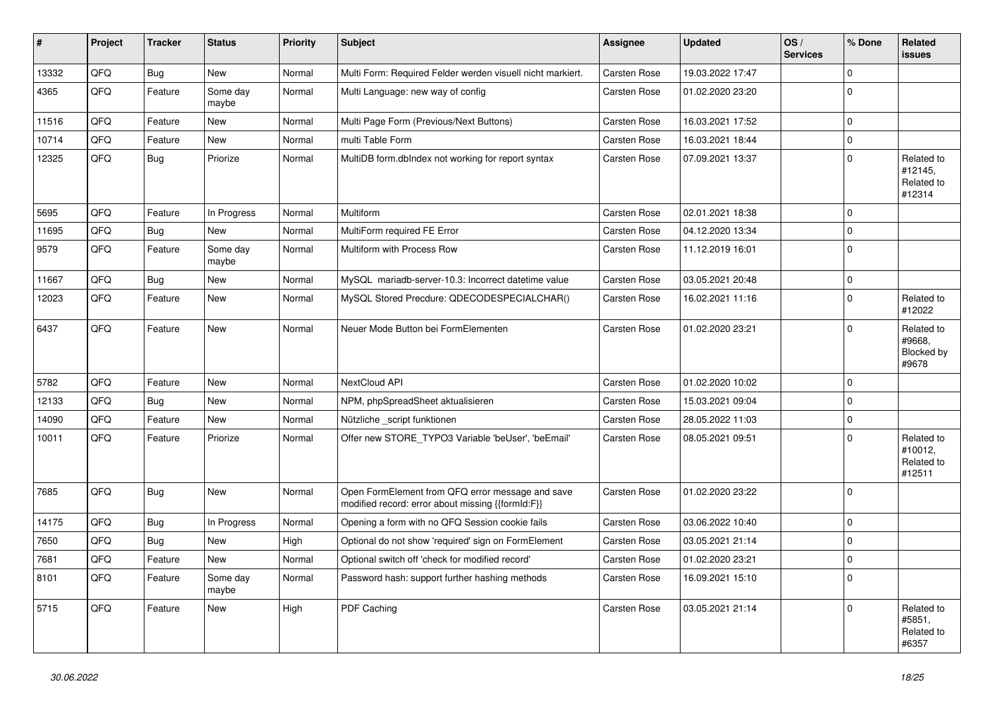| #     | Project | <b>Tracker</b> | <b>Status</b>     | <b>Priority</b> | <b>Subject</b>                                                                                        | Assignee            | <b>Updated</b>   | OS/<br><b>Services</b> | % Done      | Related<br>issues                             |
|-------|---------|----------------|-------------------|-----------------|-------------------------------------------------------------------------------------------------------|---------------------|------------------|------------------------|-------------|-----------------------------------------------|
| 13332 | QFQ     | Bug            | <b>New</b>        | Normal          | Multi Form: Required Felder werden visuell nicht markiert.                                            | Carsten Rose        | 19.03.2022 17:47 |                        | $\Omega$    |                                               |
| 4365  | QFQ     | Feature        | Some day<br>maybe | Normal          | Multi Language: new way of config                                                                     | Carsten Rose        | 01.02.2020 23:20 |                        | $\Omega$    |                                               |
| 11516 | QFQ     | Feature        | <b>New</b>        | Normal          | Multi Page Form (Previous/Next Buttons)                                                               | Carsten Rose        | 16.03.2021 17:52 |                        | $\mathbf 0$ |                                               |
| 10714 | QFQ     | Feature        | <b>New</b>        | Normal          | multi Table Form                                                                                      | Carsten Rose        | 16.03.2021 18:44 |                        | $\mathbf 0$ |                                               |
| 12325 | QFQ     | Bug            | Priorize          | Normal          | MultiDB form.dblndex not working for report syntax                                                    | Carsten Rose        | 07.09.2021 13:37 |                        | $\Omega$    | Related to<br>#12145,<br>Related to<br>#12314 |
| 5695  | QFQ     | Feature        | In Progress       | Normal          | Multiform                                                                                             | Carsten Rose        | 02.01.2021 18:38 |                        | $\mathbf 0$ |                                               |
| 11695 | QFQ     | <b>Bug</b>     | <b>New</b>        | Normal          | MultiForm required FE Error                                                                           | Carsten Rose        | 04.12.2020 13:34 |                        | $\Omega$    |                                               |
| 9579  | QFQ     | Feature        | Some day<br>maybe | Normal          | Multiform with Process Row                                                                            | Carsten Rose        | 11.12.2019 16:01 |                        | $\Omega$    |                                               |
| 11667 | QFQ     | Bug            | <b>New</b>        | Normal          | MySQL mariadb-server-10.3: Incorrect datetime value                                                   | Carsten Rose        | 03.05.2021 20:48 |                        | $\mathbf 0$ |                                               |
| 12023 | QFQ     | Feature        | <b>New</b>        | Normal          | MySQL Stored Precdure: QDECODESPECIALCHAR()                                                           | Carsten Rose        | 16.02.2021 11:16 |                        | $\Omega$    | Related to<br>#12022                          |
| 6437  | QFQ     | Feature        | <b>New</b>        | Normal          | Neuer Mode Button bei FormElementen                                                                   | Carsten Rose        | 01.02.2020 23:21 |                        | 0           | Related to<br>#9668,<br>Blocked by<br>#9678   |
| 5782  | QFQ     | Feature        | <b>New</b>        | Normal          | NextCloud API                                                                                         | Carsten Rose        | 01.02.2020 10:02 |                        | $\Omega$    |                                               |
| 12133 | QFQ     | Bug            | <b>New</b>        | Normal          | NPM, phpSpreadSheet aktualisieren                                                                     | Carsten Rose        | 15.03.2021 09:04 |                        | $\Omega$    |                                               |
| 14090 | QFQ     | Feature        | <b>New</b>        | Normal          | Nützliche _script funktionen                                                                          | Carsten Rose        | 28.05.2022 11:03 |                        | $\mathbf 0$ |                                               |
| 10011 | QFQ     | Feature        | Priorize          | Normal          | Offer new STORE_TYPO3 Variable 'beUser', 'beEmail'                                                    | Carsten Rose        | 08.05.2021 09:51 |                        | $\Omega$    | Related to<br>#10012,<br>Related to<br>#12511 |
| 7685  | QFQ     | Bug            | <b>New</b>        | Normal          | Open FormElement from QFQ error message and save<br>modified record: error about missing {{formId:F}} | Carsten Rose        | 01.02.2020 23:22 |                        | $\Omega$    |                                               |
| 14175 | QFQ     | Bug            | In Progress       | Normal          | Opening a form with no QFQ Session cookie fails                                                       | Carsten Rose        | 03.06.2022 10:40 |                        | $\Omega$    |                                               |
| 7650  | QFQ     | Bug            | New               | High            | Optional do not show 'required' sign on FormElement                                                   | Carsten Rose        | 03.05.2021 21:14 |                        | $\mathbf 0$ |                                               |
| 7681  | QFQ     | Feature        | <b>New</b>        | Normal          | Optional switch off 'check for modified record'                                                       | <b>Carsten Rose</b> | 01.02.2020 23:21 |                        | $\Omega$    |                                               |
| 8101  | QFQ     | Feature        | Some day<br>maybe | Normal          | Password hash: support further hashing methods                                                        | Carsten Rose        | 16.09.2021 15:10 |                        | $\mathbf 0$ |                                               |
| 5715  | QFQ     | Feature        | New               | High            | PDF Caching                                                                                           | Carsten Rose        | 03.05.2021 21:14 |                        | $\Omega$    | Related to<br>#5851,<br>Related to<br>#6357   |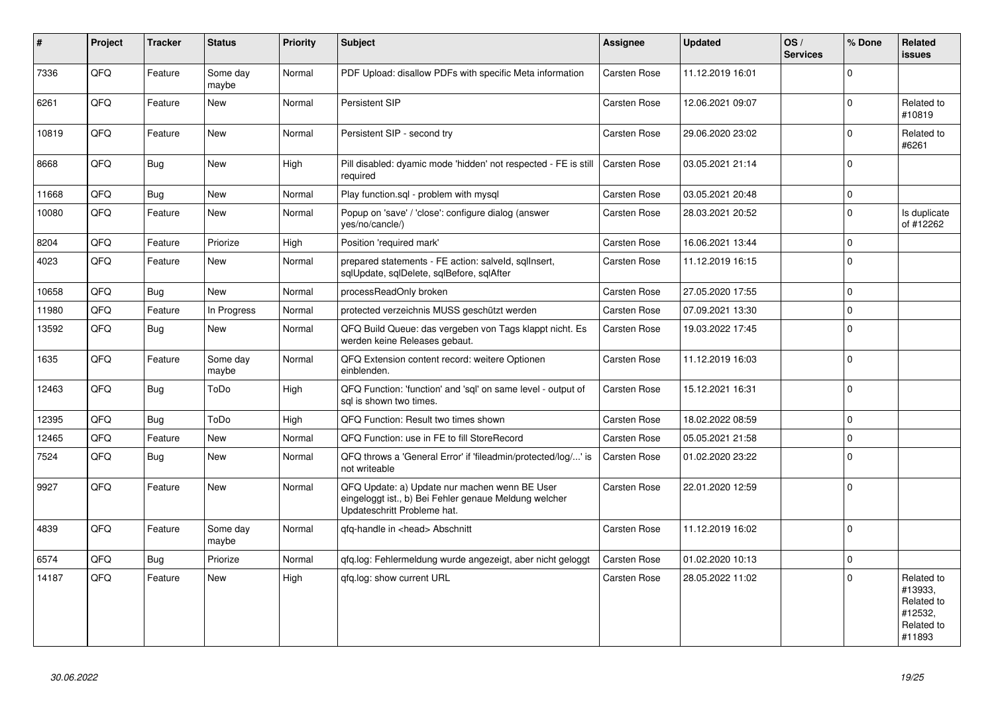| #     | Project | Tracker    | <b>Status</b>     | <b>Priority</b> | <b>Subject</b>                                                                                                                        | Assignee            | <b>Updated</b>   | OS/<br><b>Services</b> | % Done      | Related<br><b>issues</b>                                               |
|-------|---------|------------|-------------------|-----------------|---------------------------------------------------------------------------------------------------------------------------------------|---------------------|------------------|------------------------|-------------|------------------------------------------------------------------------|
| 7336  | QFQ     | Feature    | Some day<br>maybe | Normal          | PDF Upload: disallow PDFs with specific Meta information                                                                              | <b>Carsten Rose</b> | 11.12.2019 16:01 |                        | $\Omega$    |                                                                        |
| 6261  | QFQ     | Feature    | <b>New</b>        | Normal          | Persistent SIP                                                                                                                        | Carsten Rose        | 12.06.2021 09:07 |                        | $\Omega$    | Related to<br>#10819                                                   |
| 10819 | QFQ     | Feature    | <b>New</b>        | Normal          | Persistent SIP - second try                                                                                                           | <b>Carsten Rose</b> | 29.06.2020 23:02 |                        | $\Omega$    | Related to<br>#6261                                                    |
| 8668  | QFQ     | Bug        | New               | High            | Pill disabled: dyamic mode 'hidden' not respected - FE is still<br>required                                                           | <b>Carsten Rose</b> | 03.05.2021 21:14 |                        | $\Omega$    |                                                                        |
| 11668 | QFQ     | Bug        | New               | Normal          | Play function.sql - problem with mysql                                                                                                | <b>Carsten Rose</b> | 03.05.2021 20:48 |                        | $\Omega$    |                                                                        |
| 10080 | QFQ     | Feature    | New               | Normal          | Popup on 'save' / 'close': configure dialog (answer<br>yes/no/cancle/)                                                                | Carsten Rose        | 28.03.2021 20:52 |                        | $\Omega$    | Is duplicate<br>of #12262                                              |
| 8204  | QFQ     | Feature    | Priorize          | High            | Position 'required mark'                                                                                                              | Carsten Rose        | 16.06.2021 13:44 |                        | $\mathbf 0$ |                                                                        |
| 4023  | QFQ     | Feature    | New               | Normal          | prepared statements - FE action: salveld, sqllnsert,<br>sqlUpdate, sqlDelete, sqlBefore, sqlAfter                                     | Carsten Rose        | 11.12.2019 16:15 |                        | $\Omega$    |                                                                        |
| 10658 | QFQ     | <b>Bug</b> | <b>New</b>        | Normal          | processReadOnly broken                                                                                                                | Carsten Rose        | 27.05.2020 17:55 |                        | $\Omega$    |                                                                        |
| 11980 | QFQ     | Feature    | In Progress       | Normal          | protected verzeichnis MUSS geschützt werden                                                                                           | Carsten Rose        | 07.09.2021 13:30 |                        | $\Omega$    |                                                                        |
| 13592 | QFQ     | Bug        | <b>New</b>        | Normal          | QFQ Build Queue: das vergeben von Tags klappt nicht. Es<br>werden keine Releases gebaut.                                              | Carsten Rose        | 19.03.2022 17:45 |                        | $\Omega$    |                                                                        |
| 1635  | QFQ     | Feature    | Some day<br>maybe | Normal          | QFQ Extension content record: weitere Optionen<br>einblenden.                                                                         | <b>Carsten Rose</b> | 11.12.2019 16:03 |                        | $\Omega$    |                                                                        |
| 12463 | QFQ     | Bug        | ToDo              | High            | QFQ Function: 'function' and 'sql' on same level - output of<br>sql is shown two times.                                               | Carsten Rose        | 15.12.2021 16:31 |                        | $\Omega$    |                                                                        |
| 12395 | QFQ     | Bug        | ToDo              | High            | QFQ Function: Result two times shown                                                                                                  | <b>Carsten Rose</b> | 18.02.2022 08:59 |                        | $\Omega$    |                                                                        |
| 12465 | QFQ     | Feature    | <b>New</b>        | Normal          | QFQ Function: use in FE to fill StoreRecord                                                                                           | <b>Carsten Rose</b> | 05.05.2021 21:58 |                        | $\Omega$    |                                                                        |
| 7524  | QFQ     | <b>Bug</b> | <b>New</b>        | Normal          | QFQ throws a 'General Error' if 'fileadmin/protected/log/' is<br>not writeable                                                        | <b>Carsten Rose</b> | 01.02.2020 23:22 |                        | $\Omega$    |                                                                        |
| 9927  | QFQ     | Feature    | <b>New</b>        | Normal          | QFQ Update: a) Update nur machen wenn BE User<br>eingeloggt ist., b) Bei Fehler genaue Meldung welcher<br>Updateschritt Probleme hat. | <b>Carsten Rose</b> | 22.01.2020 12:59 |                        | $\mathbf 0$ |                                                                        |
| 4839  | QFQ     | Feature    | Some day<br>maybe | Normal          | qfq-handle in <head> Abschnitt</head>                                                                                                 | Carsten Rose        | 11.12.2019 16:02 |                        | $\Omega$    |                                                                        |
| 6574  | QFQ     | Bug        | Priorize          | Normal          | gfg.log: Fehlermeldung wurde angezeigt, aber nicht geloggt                                                                            | Carsten Rose        | 01.02.2020 10:13 |                        | $\mathbf 0$ |                                                                        |
| 14187 | QFQ     | Feature    | New               | High            | gfg.log: show current URL                                                                                                             | Carsten Rose        | 28.05.2022 11:02 |                        | $\Omega$    | Related to<br>#13933,<br>Related to<br>#12532,<br>Related to<br>#11893 |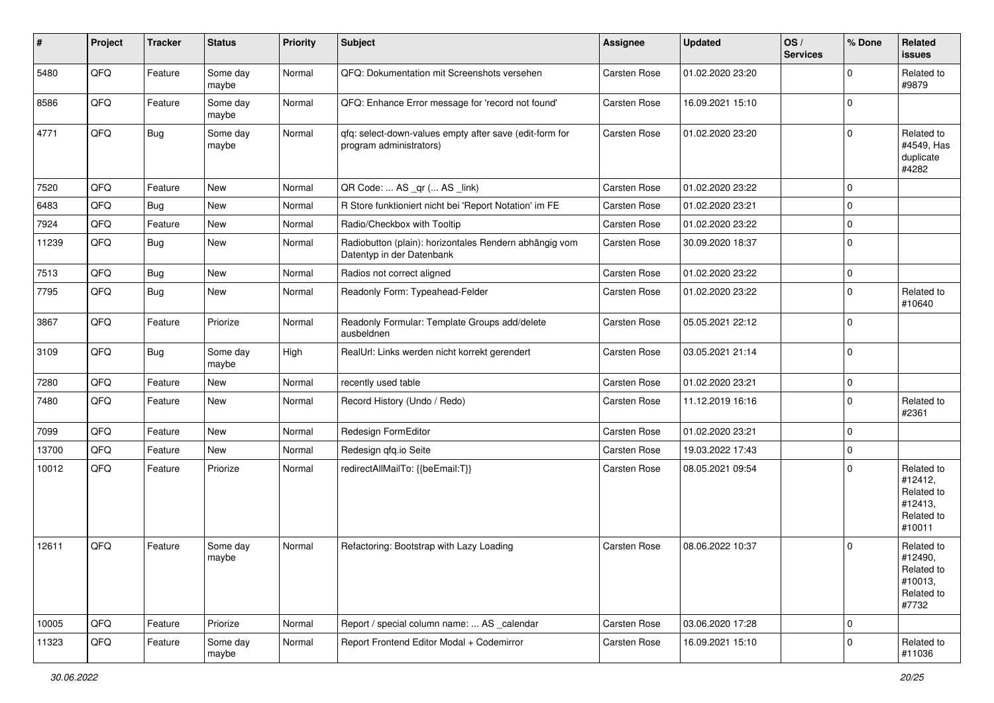| $\sharp$ | Project | <b>Tracker</b> | <b>Status</b>     | <b>Priority</b> | Subject                                                                             | <b>Assignee</b>     | <b>Updated</b>   | OS/<br><b>Services</b> | % Done      | Related<br><b>issues</b>                                               |
|----------|---------|----------------|-------------------|-----------------|-------------------------------------------------------------------------------------|---------------------|------------------|------------------------|-------------|------------------------------------------------------------------------|
| 5480     | QFQ     | Feature        | Some day<br>maybe | Normal          | QFQ: Dokumentation mit Screenshots versehen                                         | Carsten Rose        | 01.02.2020 23:20 |                        | O           | Related to<br>#9879                                                    |
| 8586     | QFQ     | Feature        | Some day<br>maybe | Normal          | QFQ: Enhance Error message for 'record not found'                                   | Carsten Rose        | 16.09.2021 15:10 |                        | 0           |                                                                        |
| 4771     | QFQ     | <b>Bug</b>     | Some day<br>maybe | Normal          | qfq: select-down-values empty after save (edit-form for<br>program administrators)  | Carsten Rose        | 01.02.2020 23:20 |                        | $\Omega$    | Related to<br>#4549, Has<br>duplicate<br>#4282                         |
| 7520     | QFQ     | Feature        | <b>New</b>        | Normal          | QR Code:  AS _qr ( AS _link)                                                        | <b>Carsten Rose</b> | 01.02.2020 23:22 |                        | $\mathbf 0$ |                                                                        |
| 6483     | QFQ     | Bug            | New               | Normal          | R Store funktioniert nicht bei 'Report Notation' im FE                              | Carsten Rose        | 01.02.2020 23:21 |                        | $\mathbf 0$ |                                                                        |
| 7924     | QFQ     | Feature        | <b>New</b>        | Normal          | Radio/Checkbox with Tooltip                                                         | <b>Carsten Rose</b> | 01.02.2020 23:22 |                        | $\mathbf 0$ |                                                                        |
| 11239    | QFQ     | Bug            | New               | Normal          | Radiobutton (plain): horizontales Rendern abhängig vom<br>Datentyp in der Datenbank | Carsten Rose        | 30.09.2020 18:37 |                        | $\mathbf 0$ |                                                                        |
| 7513     | QFQ     | <b>Bug</b>     | <b>New</b>        | Normal          | Radios not correct aligned                                                          | Carsten Rose        | 01.02.2020 23:22 |                        | $\mathbf 0$ |                                                                        |
| 7795     | QFQ     | Bug            | New               | Normal          | Readonly Form: Typeahead-Felder                                                     | <b>Carsten Rose</b> | 01.02.2020 23:22 |                        | $\Omega$    | Related to<br>#10640                                                   |
| 3867     | QFQ     | Feature        | Priorize          | Normal          | Readonly Formular: Template Groups add/delete<br>ausbeldnen                         | <b>Carsten Rose</b> | 05.05.2021 22:12 |                        | $\Omega$    |                                                                        |
| 3109     | QFQ     | <b>Bug</b>     | Some day<br>maybe | High            | RealUrl: Links werden nicht korrekt gerendert                                       | Carsten Rose        | 03.05.2021 21:14 |                        | $\Omega$    |                                                                        |
| 7280     | QFQ     | Feature        | New               | Normal          | recently used table                                                                 | <b>Carsten Rose</b> | 01.02.2020 23:21 |                        | $\mathbf 0$ |                                                                        |
| 7480     | QFQ     | Feature        | New               | Normal          | Record History (Undo / Redo)                                                        | <b>Carsten Rose</b> | 11.12.2019 16:16 |                        | $\mathbf 0$ | Related to<br>#2361                                                    |
| 7099     | QFQ     | Feature        | New               | Normal          | Redesign FormEditor                                                                 | <b>Carsten Rose</b> | 01.02.2020 23:21 |                        | $\mathbf 0$ |                                                                        |
| 13700    | QFQ     | Feature        | New               | Normal          | Redesign qfq.io Seite                                                               | Carsten Rose        | 19.03.2022 17:43 |                        | $\mathbf 0$ |                                                                        |
| 10012    | QFQ     | Feature        | Priorize          | Normal          | redirectAllMailTo: {{beEmail:T}}                                                    | Carsten Rose        | 08.05.2021 09:54 |                        | $\Omega$    | Related to<br>#12412,<br>Related to<br>#12413,<br>Related to<br>#10011 |
| 12611    | QFQ     | Feature        | Some day<br>maybe | Normal          | Refactoring: Bootstrap with Lazy Loading                                            | Carsten Rose        | 08.06.2022 10:37 |                        | $\Omega$    | Related to<br>#12490,<br>Related to<br>#10013,<br>Related to<br>#7732  |
| 10005    | QFQ     | Feature        | Priorize          | Normal          | Report / special column name:  AS _calendar                                         | Carsten Rose        | 03.06.2020 17:28 |                        | 0           |                                                                        |
| 11323    | QFQ     | Feature        | Some day<br>maybe | Normal          | Report Frontend Editor Modal + Codemirror                                           | Carsten Rose        | 16.09.2021 15:10 |                        | $\mathbf 0$ | Related to<br>#11036                                                   |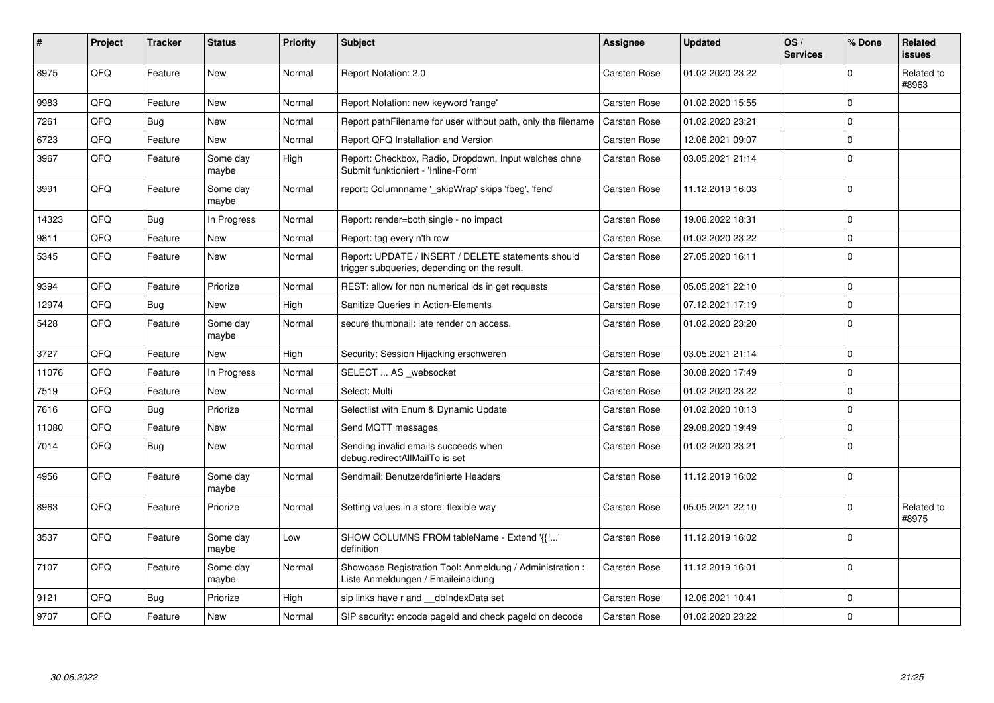| #     | Project | <b>Tracker</b> | <b>Status</b>     | <b>Priority</b> | <b>Subject</b>                                                                                     | Assignee            | <b>Updated</b>   | OS/<br><b>Services</b> | % Done      | Related<br><b>issues</b> |
|-------|---------|----------------|-------------------|-----------------|----------------------------------------------------------------------------------------------------|---------------------|------------------|------------------------|-------------|--------------------------|
| 8975  | QFQ     | Feature        | <b>New</b>        | Normal          | Report Notation: 2.0                                                                               | <b>Carsten Rose</b> | 01.02.2020 23:22 |                        | $\Omega$    | Related to<br>#8963      |
| 9983  | QFQ     | Feature        | New               | Normal          | Report Notation: new keyword 'range'                                                               | Carsten Rose        | 01.02.2020 15:55 |                        | $\Omega$    |                          |
| 7261  | QFQ     | Bug            | New               | Normal          | Report pathFilename for user without path, only the filename                                       | <b>Carsten Rose</b> | 01.02.2020 23:21 |                        | $\Omega$    |                          |
| 6723  | QFQ     | Feature        | New               | Normal          | Report QFQ Installation and Version                                                                | Carsten Rose        | 12.06.2021 09:07 |                        | $\mathbf 0$ |                          |
| 3967  | QFQ     | Feature        | Some day<br>maybe | High            | Report: Checkbox, Radio, Dropdown, Input welches ohne<br>Submit funktioniert - 'Inline-Form'       | Carsten Rose        | 03.05.2021 21:14 |                        | $\Omega$    |                          |
| 3991  | QFQ     | Feature        | Some day<br>maybe | Normal          | report: Columnname '_skipWrap' skips 'fbeg', 'fend'                                                | Carsten Rose        | 11.12.2019 16:03 |                        | $\Omega$    |                          |
| 14323 | QFQ     | Bug            | In Progress       | Normal          | Report: render=both single - no impact                                                             | Carsten Rose        | 19.06.2022 18:31 |                        | $\mathbf 0$ |                          |
| 9811  | QFQ     | Feature        | <b>New</b>        | Normal          | Report: tag every n'th row                                                                         | Carsten Rose        | 01.02.2020 23:22 |                        | $\Omega$    |                          |
| 5345  | QFQ     | Feature        | New               | Normal          | Report: UPDATE / INSERT / DELETE statements should<br>trigger subqueries, depending on the result. | <b>Carsten Rose</b> | 27.05.2020 16:11 |                        | $\Omega$    |                          |
| 9394  | QFQ     | Feature        | Priorize          | Normal          | REST: allow for non numerical ids in get requests                                                  | Carsten Rose        | 05.05.2021 22:10 |                        | $\mathbf 0$ |                          |
| 12974 | QFQ     | Bug            | New               | High            | <b>Sanitize Queries in Action-Elements</b>                                                         | Carsten Rose        | 07.12.2021 17:19 |                        | $\Omega$    |                          |
| 5428  | QFQ     | Feature        | Some day<br>maybe | Normal          | secure thumbnail: late render on access.                                                           | Carsten Rose        | 01.02.2020 23:20 |                        | $\Omega$    |                          |
| 3727  | QFQ     | Feature        | <b>New</b>        | High            | Security: Session Hijacking erschweren                                                             | <b>Carsten Rose</b> | 03.05.2021 21:14 |                        | $\Omega$    |                          |
| 11076 | QFQ     | Feature        | In Progress       | Normal          | SELECT  AS _websocket                                                                              | <b>Carsten Rose</b> | 30.08.2020 17:49 |                        | $\Omega$    |                          |
| 7519  | QFQ     | Feature        | New               | Normal          | Select: Multi                                                                                      | <b>Carsten Rose</b> | 01.02.2020 23:22 |                        | $\Omega$    |                          |
| 7616  | QFQ     | Bug            | Priorize          | Normal          | Selectlist with Enum & Dynamic Update                                                              | <b>Carsten Rose</b> | 01.02.2020 10:13 |                        | $\mathbf 0$ |                          |
| 11080 | QFQ     | Feature        | <b>New</b>        | Normal          | Send MQTT messages                                                                                 | <b>Carsten Rose</b> | 29.08.2020 19:49 |                        | $\Omega$    |                          |
| 7014  | QFQ     | Bug            | New               | Normal          | Sending invalid emails succeeds when<br>debug.redirectAllMailTo is set                             | Carsten Rose        | 01.02.2020 23:21 |                        | $\Omega$    |                          |
| 4956  | QFQ     | Feature        | Some day<br>maybe | Normal          | Sendmail: Benutzerdefinierte Headers                                                               | <b>Carsten Rose</b> | 11.12.2019 16:02 |                        | $\Omega$    |                          |
| 8963  | QFQ     | Feature        | Priorize          | Normal          | Setting values in a store: flexible way                                                            | <b>Carsten Rose</b> | 05.05.2021 22:10 |                        | $\Omega$    | Related to<br>#8975      |
| 3537  | QFQ     | Feature        | Some day<br>maybe | Low             | SHOW COLUMNS FROM tableName - Extend '{{!'<br>definition                                           | Carsten Rose        | 11.12.2019 16:02 |                        | $\Omega$    |                          |
| 7107  | QFQ     | Feature        | Some day<br>maybe | Normal          | Showcase Registration Tool: Anmeldung / Administration :<br>Liste Anmeldungen / Emaileinaldung     | <b>Carsten Rose</b> | 11.12.2019 16:01 |                        | $\Omega$    |                          |
| 9121  | QFQ     | Bug            | Priorize          | High            | sip links have r and dblndexData set                                                               | <b>Carsten Rose</b> | 12.06.2021 10:41 |                        | $\Omega$    |                          |
| 9707  | QFQ     | Feature        | <b>New</b>        | Normal          | SIP security: encode pageld and check pageld on decode                                             | <b>Carsten Rose</b> | 01.02.2020 23:22 |                        | $\Omega$    |                          |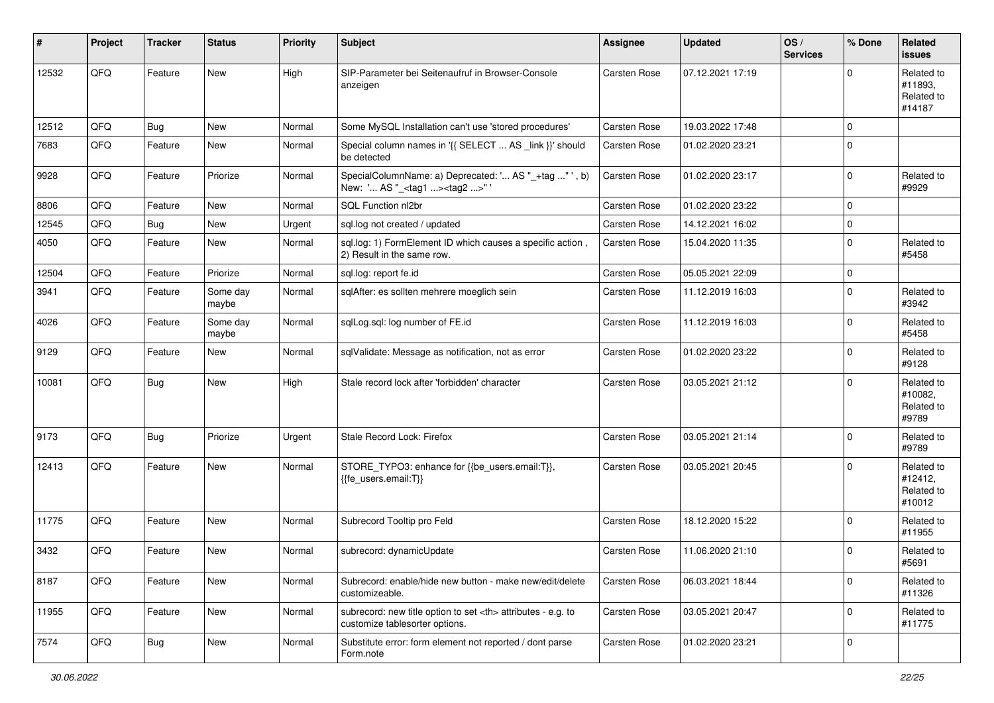| #     | Project | <b>Tracker</b> | <b>Status</b>     | <b>Priority</b> | Subject                                                                                              | Assignee                                               | <b>Updated</b>   | OS/<br><b>Services</b> | % Done      | Related<br><b>issues</b>                      |                      |
|-------|---------|----------------|-------------------|-----------------|------------------------------------------------------------------------------------------------------|--------------------------------------------------------|------------------|------------------------|-------------|-----------------------------------------------|----------------------|
| 12532 | QFQ     | Feature        | <b>New</b>        | High            | SIP-Parameter bei Seitenaufruf in Browser-Console<br>anzeigen                                        | Carsten Rose                                           | 07.12.2021 17:19 |                        | $\Omega$    | Related to<br>#11893,<br>Related to<br>#14187 |                      |
| 12512 | QFQ     | <b>Bug</b>     | <b>New</b>        | Normal          | Some MySQL Installation can't use 'stored procedures'                                                | Carsten Rose                                           | 19.03.2022 17:48 |                        | $\Omega$    |                                               |                      |
| 7683  | QFQ     | Feature        | New               | Normal          | Special column names in '{{ SELECT  AS _link }}' should<br>be detected                               | Carsten Rose                                           | 01.02.2020 23:21 |                        | $\mathbf 0$ |                                               |                      |
| 9928  | QFQ     | Feature        | Priorize          | Normal          | SpecialColumnName: a) Deprecated: ' AS "_+tag " ', b)<br>New: ' AS "_ <tag1><tag2>"</tag2></tag1>    | Carsten Rose                                           | 01.02.2020 23:17 |                        | $\mathbf 0$ | Related to<br>#9929                           |                      |
| 8806  | QFQ     | Feature        | New               | Normal          | SQL Function nl2br                                                                                   | Carsten Rose                                           | 01.02.2020 23:22 |                        | $\mathbf 0$ |                                               |                      |
| 12545 | QFQ     | Bug            | New               | Urgent          | sql.log not created / updated                                                                        | Carsten Rose                                           | 14.12.2021 16:02 |                        | $\mathbf 0$ |                                               |                      |
| 4050  | QFQ     | Feature        | <b>New</b>        | Normal          | sql.log: 1) FormElement ID which causes a specific action,<br>2) Result in the same row.             | Carsten Rose                                           | 15.04.2020 11:35 |                        | $\mathbf 0$ | Related to<br>#5458                           |                      |
| 12504 | QFQ     | Feature        | Priorize          | Normal          | sql.log: report fe.id                                                                                | Carsten Rose                                           | 05.05.2021 22:09 |                        | $\mathbf 0$ |                                               |                      |
| 3941  | QFQ     | Feature        | Some day<br>maybe | Normal          | sqlAfter: es sollten mehrere moeglich sein                                                           | Carsten Rose                                           | 11.12.2019 16:03 |                        | $\Omega$    | Related to<br>#3942                           |                      |
| 4026  | QFQ     | Feature        | Some day<br>maybe | Normal          | sqlLog.sql: log number of FE.id                                                                      | Carsten Rose                                           | 11.12.2019 16:03 |                        | $\mathbf 0$ | Related to<br>#5458                           |                      |
| 9129  | QFQ     | Feature        | <b>New</b>        | Normal          | sqlValidate: Message as notification, not as error                                                   | Carsten Rose                                           | 01.02.2020 23:22 |                        | $\Omega$    | Related to<br>#9128                           |                      |
| 10081 | QFQ     | Bug            | New               | High            | Stale record lock after 'forbidden' character                                                        | Carsten Rose                                           | 03.05.2021 21:12 |                        | $\Omega$    | Related to<br>#10082,<br>Related to<br>#9789  |                      |
| 9173  | QFQ     | Bug            | Priorize          | Urgent          | Stale Record Lock: Firefox                                                                           | Carsten Rose                                           | 03.05.2021 21:14 |                        | $\Omega$    | Related to<br>#9789                           |                      |
| 12413 | QFQ     | Feature        | New               | Normal          | STORE_TYPO3: enhance for {{be_users.email:T}},<br>{{fe users.email:T}}                               | Carsten Rose                                           | 03.05.2021 20:45 |                        | $\Omega$    | Related to<br>#12412,<br>Related to<br>#10012 |                      |
| 11775 | QFQ     | Feature        | New               | Normal          | Subrecord Tooltip pro Feld                                                                           | Carsten Rose                                           | 18.12.2020 15:22 |                        | $\mathbf 0$ | Related to<br>#11955                          |                      |
| 3432  | QFQ     | Feature        | New               | Normal          | subrecord: dynamicUpdate                                                                             | Carsten Rose                                           | 11.06.2020 21:10 |                        | $\Omega$    | Related to<br>#5691                           |                      |
| 8187  | QFG     | Feature        | New               | Normal          | Subrecord: enable/hide new button - make new/edit/delete<br>customizeable.                           | Carsten Rose                                           | 06.03.2021 18:44 |                        | $\mathbf 0$ | Related to<br>#11326                          |                      |
| 11955 | QFQ     | Feature        | New               | Normal          | subrecord: new title option to set <th> attributes - e.g. to<br/>customize tablesorter options.</th> | attributes - e.g. to<br>customize tablesorter options. | Carsten Rose     | 03.05.2021 20:47       |             | $\mathbf 0$                                   | Related to<br>#11775 |
| 7574  | QFQ     | <b>Bug</b>     | New               | Normal          | Substitute error: form element not reported / dont parse<br>Form.note                                | Carsten Rose                                           | 01.02.2020 23:21 |                        | $\mathbf 0$ |                                               |                      |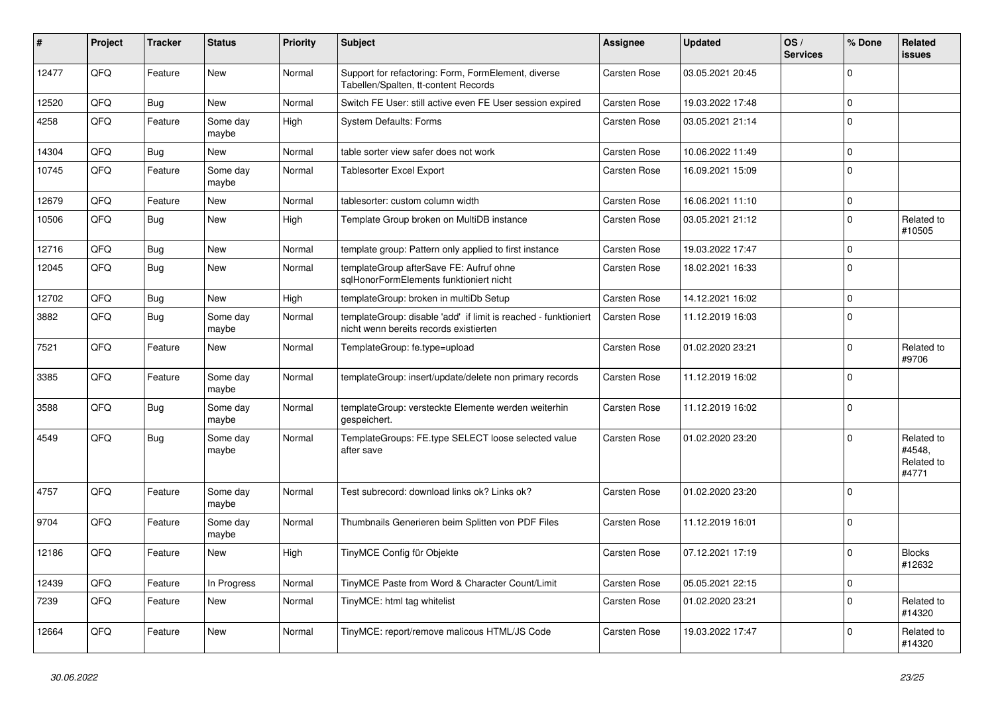| ∦     | Project | <b>Tracker</b> | <b>Status</b>     | <b>Priority</b> | <b>Subject</b>                                                                                            | Assignee            | <b>Updated</b>   | OS/<br><b>Services</b> | % Done      | Related<br><b>issues</b>                    |
|-------|---------|----------------|-------------------|-----------------|-----------------------------------------------------------------------------------------------------------|---------------------|------------------|------------------------|-------------|---------------------------------------------|
| 12477 | QFQ     | Feature        | <b>New</b>        | Normal          | Support for refactoring: Form, FormElement, diverse<br>Tabellen/Spalten, tt-content Records               | <b>Carsten Rose</b> | 03.05.2021 20:45 |                        | $\Omega$    |                                             |
| 12520 | QFQ     | Bug            | <b>New</b>        | Normal          | Switch FE User: still active even FE User session expired                                                 | <b>Carsten Rose</b> | 19.03.2022 17:48 |                        | $\mathbf 0$ |                                             |
| 4258  | QFQ     | Feature        | Some day<br>maybe | High            | <b>System Defaults: Forms</b>                                                                             | <b>Carsten Rose</b> | 03.05.2021 21:14 |                        | $\Omega$    |                                             |
| 14304 | QFQ     | Bug            | <b>New</b>        | Normal          | table sorter view safer does not work                                                                     | <b>Carsten Rose</b> | 10.06.2022 11:49 |                        | $\Omega$    |                                             |
| 10745 | QFQ     | Feature        | Some day<br>maybe | Normal          | Tablesorter Excel Export                                                                                  | Carsten Rose        | 16.09.2021 15:09 |                        | $\Omega$    |                                             |
| 12679 | QFQ     | Feature        | <b>New</b>        | Normal          | tablesorter: custom column width                                                                          | <b>Carsten Rose</b> | 16.06.2021 11:10 |                        | $\Omega$    |                                             |
| 10506 | QFQ     | Bug            | <b>New</b>        | High            | Template Group broken on MultiDB instance                                                                 | <b>Carsten Rose</b> | 03.05.2021 21:12 |                        | $\Omega$    | Related to<br>#10505                        |
| 12716 | QFQ     | Bug            | <b>New</b>        | Normal          | template group: Pattern only applied to first instance                                                    | <b>Carsten Rose</b> | 19.03.2022 17:47 |                        | $\Omega$    |                                             |
| 12045 | QFQ     | Bug            | <b>New</b>        | Normal          | templateGroup afterSave FE: Aufruf ohne<br>sglHonorFormElements funktioniert nicht                        | <b>Carsten Rose</b> | 18.02.2021 16:33 |                        | $\Omega$    |                                             |
| 12702 | QFQ     | <b>Bug</b>     | <b>New</b>        | High            | templateGroup: broken in multiDb Setup                                                                    | <b>Carsten Rose</b> | 14.12.2021 16:02 |                        | $\Omega$    |                                             |
| 3882  | QFQ     | <b>Bug</b>     | Some day<br>maybe | Normal          | templateGroup: disable 'add' if limit is reached - funktioniert<br>nicht wenn bereits records existierten | Carsten Rose        | 11.12.2019 16:03 |                        | $\Omega$    |                                             |
| 7521  | QFQ     | Feature        | New               | Normal          | TemplateGroup: fe.type=upload                                                                             | <b>Carsten Rose</b> | 01.02.2020 23:21 |                        | $\Omega$    | Related to<br>#9706                         |
| 3385  | QFQ     | Feature        | Some day<br>maybe | Normal          | templateGroup: insert/update/delete non primary records                                                   | Carsten Rose        | 11.12.2019 16:02 |                        | $\Omega$    |                                             |
| 3588  | QFQ     | Bug            | Some day<br>maybe | Normal          | templateGroup: versteckte Elemente werden weiterhin<br>gespeichert.                                       | Carsten Rose        | 11.12.2019 16:02 |                        | $\Omega$    |                                             |
| 4549  | QFQ     | Bug            | Some day<br>maybe | Normal          | TemplateGroups: FE.type SELECT loose selected value<br>after save                                         | <b>Carsten Rose</b> | 01.02.2020 23:20 |                        | $\Omega$    | Related to<br>#4548,<br>Related to<br>#4771 |
| 4757  | QFQ     | Feature        | Some day<br>maybe | Normal          | Test subrecord: download links ok? Links ok?                                                              | <b>Carsten Rose</b> | 01.02.2020 23:20 |                        | $\Omega$    |                                             |
| 9704  | QFQ     | Feature        | Some day<br>maybe | Normal          | Thumbnails Generieren beim Splitten von PDF Files                                                         | Carsten Rose        | 11.12.2019 16:01 |                        | $\Omega$    |                                             |
| 12186 | QFQ     | Feature        | New               | High            | TinyMCE Config für Objekte                                                                                | <b>Carsten Rose</b> | 07.12.2021 17:19 |                        | $\Omega$    | <b>Blocks</b><br>#12632                     |
| 12439 | QFQ     | Feature        | In Progress       | Normal          | TinyMCE Paste from Word & Character Count/Limit                                                           | Carsten Rose        | 05.05.2021 22:15 |                        | $\mathbf 0$ |                                             |
| 7239  | QFQ     | Feature        | <b>New</b>        | Normal          | TinyMCE: html tag whitelist                                                                               | <b>Carsten Rose</b> | 01.02.2020 23:21 |                        | $\Omega$    | Related to<br>#14320                        |
| 12664 | QFQ     | Feature        | <b>New</b>        | Normal          | TinyMCE: report/remove malicous HTML/JS Code                                                              | Carsten Rose        | 19.03.2022 17:47 |                        | $\Omega$    | Related to<br>#14320                        |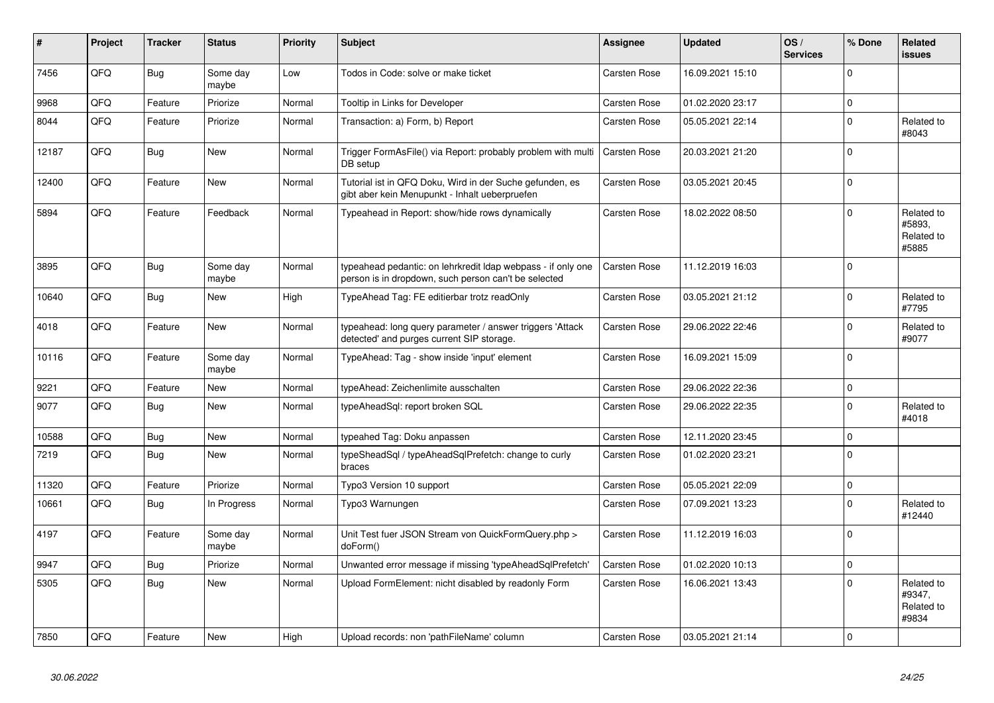| #     | Project | <b>Tracker</b> | <b>Status</b>     | <b>Priority</b> | <b>Subject</b>                                                                                                       | Assignee            | <b>Updated</b>   | OS/<br><b>Services</b> | % Done      | Related<br><b>issues</b>                    |
|-------|---------|----------------|-------------------|-----------------|----------------------------------------------------------------------------------------------------------------------|---------------------|------------------|------------------------|-------------|---------------------------------------------|
| 7456  | QFQ     | <b>Bug</b>     | Some day<br>maybe | Low             | Todos in Code: solve or make ticket                                                                                  | <b>Carsten Rose</b> | 16.09.2021 15:10 |                        | $\Omega$    |                                             |
| 9968  | QFQ     | Feature        | Priorize          | Normal          | Tooltip in Links for Developer                                                                                       | Carsten Rose        | 01.02.2020 23:17 |                        | $\pmb{0}$   |                                             |
| 8044  | QFQ     | Feature        | Priorize          | Normal          | Transaction: a) Form, b) Report                                                                                      | <b>Carsten Rose</b> | 05.05.2021 22:14 |                        | $\mathbf 0$ | Related to<br>#8043                         |
| 12187 | QFQ     | <b>Bug</b>     | <b>New</b>        | Normal          | Trigger FormAsFile() via Report: probably problem with multi<br>DB setup                                             | <b>Carsten Rose</b> | 20.03.2021 21:20 |                        | $\Omega$    |                                             |
| 12400 | QFQ     | Feature        | <b>New</b>        | Normal          | Tutorial ist in QFQ Doku, Wird in der Suche gefunden, es<br>gibt aber kein Menupunkt - Inhalt ueberpruefen           | Carsten Rose        | 03.05.2021 20:45 |                        | $\mathbf 0$ |                                             |
| 5894  | QFQ     | Feature        | Feedback          | Normal          | Typeahead in Report: show/hide rows dynamically                                                                      | <b>Carsten Rose</b> | 18.02.2022 08:50 |                        | $\Omega$    | Related to<br>#5893,<br>Related to<br>#5885 |
| 3895  | QFQ     | <b>Bug</b>     | Some day<br>maybe | Normal          | typeahead pedantic: on lehrkredit Idap webpass - if only one<br>person is in dropdown, such person can't be selected | Carsten Rose        | 11.12.2019 16:03 |                        | $\mathbf 0$ |                                             |
| 10640 | QFQ     | Bug            | <b>New</b>        | High            | TypeAhead Tag: FE editierbar trotz readOnly                                                                          | Carsten Rose        | 03.05.2021 21:12 |                        | $\mathbf 0$ | Related to<br>#7795                         |
| 4018  | QFQ     | Feature        | <b>New</b>        | Normal          | typeahead: long query parameter / answer triggers 'Attack<br>detected' and purges current SIP storage.               | <b>Carsten Rose</b> | 29.06.2022 22:46 |                        | $\Omega$    | Related to<br>#9077                         |
| 10116 | QFQ     | Feature        | Some day<br>maybe | Normal          | TypeAhead: Tag - show inside 'input' element                                                                         | Carsten Rose        | 16.09.2021 15:09 |                        | $\mathbf 0$ |                                             |
| 9221  | QFQ     | Feature        | <b>New</b>        | Normal          | typeAhead: Zeichenlimite ausschalten                                                                                 | Carsten Rose        | 29.06.2022 22:36 |                        | $\mathbf 0$ |                                             |
| 9077  | QFQ     | Bug            | <b>New</b>        | Normal          | typeAheadSql: report broken SQL                                                                                      | Carsten Rose        | 29.06.2022 22:35 |                        | $\mathbf 0$ | Related to<br>#4018                         |
| 10588 | QFQ     | Bug            | <b>New</b>        | Normal          | typeahed Tag: Doku anpassen                                                                                          | <b>Carsten Rose</b> | 12.11.2020 23:45 |                        | $\mathbf 0$ |                                             |
| 7219  | QFQ     | Bug            | <b>New</b>        | Normal          | typeSheadSql / typeAheadSqlPrefetch: change to curly<br>braces                                                       | Carsten Rose        | 01.02.2020 23:21 |                        | $\mathbf 0$ |                                             |
| 11320 | QFQ     | Feature        | Priorize          | Normal          | Typo3 Version 10 support                                                                                             | Carsten Rose        | 05.05.2021 22:09 |                        | $\mathbf 0$ |                                             |
| 10661 | QFQ     | <b>Bug</b>     | In Progress       | Normal          | Typo3 Warnungen                                                                                                      | Carsten Rose        | 07.09.2021 13:23 |                        | $\mathbf 0$ | Related to<br>#12440                        |
| 4197  | QFQ     | Feature        | Some day<br>maybe | Normal          | Unit Test fuer JSON Stream von QuickFormQuery.php ><br>doForm()                                                      | Carsten Rose        | 11.12.2019 16:03 |                        | $\Omega$    |                                             |
| 9947  | QFQ     | <b>Bug</b>     | Priorize          | Normal          | Unwanted error message if missing 'typeAheadSqlPrefetch'                                                             | <b>Carsten Rose</b> | 01.02.2020 10:13 |                        | $\mathbf 0$ |                                             |
| 5305  | QFQ     | Bug            | <b>New</b>        | Normal          | Upload FormElement: nicht disabled by readonly Form                                                                  | Carsten Rose        | 16.06.2021 13:43 |                        | $\mathbf 0$ | Related to<br>#9347,<br>Related to<br>#9834 |
| 7850  | QFQ     | Feature        | <b>New</b>        | High            | Upload records: non 'pathFileName' column                                                                            | <b>Carsten Rose</b> | 03.05.2021 21:14 |                        | $\mathbf 0$ |                                             |